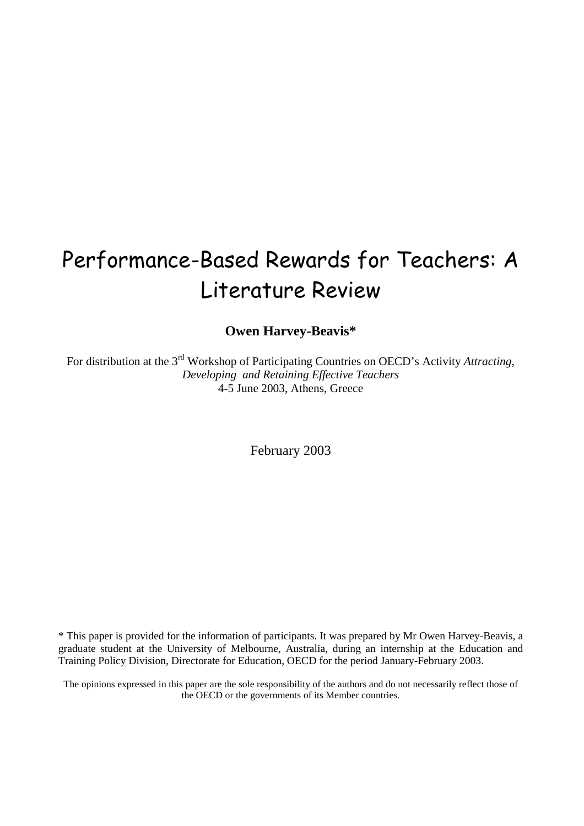# Performance-Based Rewards for Teachers: A Literature Review

**Owen Harvey-Beavis\*** 

For distribution at the 3rd Workshop of Participating Countries on OECD's Activity *Attracting, Developing and Retaining Effective Teachers*  4-5 June 2003, Athens, Greece

February 2003

\* This paper is provided for the information of participants. It was prepared by Mr Owen Harvey-Beavis, a graduate student at the University of Melbourne, Australia, during an internship at the Education and Training Policy Division, Directorate for Education, OECD for the period January-February 2003.

The opinions expressed in this paper are the sole responsibility of the authors and do not necessarily reflect those of the OECD or the governments of its Member countries.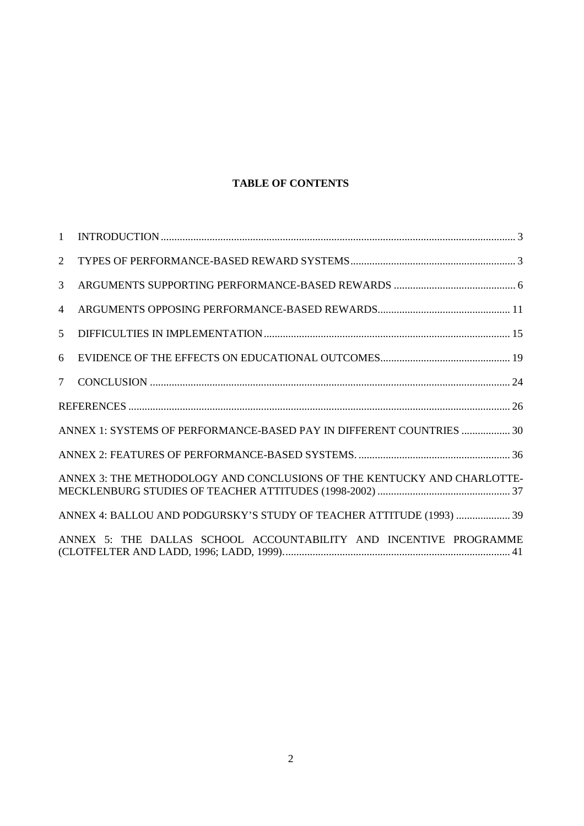# **TABLE OF CONTENTS**

| $\mathbf{1}$    |                                                                         |
|-----------------|-------------------------------------------------------------------------|
| 2               |                                                                         |
| $\overline{3}$  |                                                                         |
| 4               |                                                                         |
| 5               |                                                                         |
| 6               |                                                                         |
| $7\overline{ }$ |                                                                         |
|                 |                                                                         |
|                 | ANNEX 1: SYSTEMS OF PERFORMANCE-BASED PAY IN DIFFERENT COUNTRIES  30    |
|                 |                                                                         |
|                 | ANNEX 3: THE METHODOLOGY AND CONCLUSIONS OF THE KENTUCKY AND CHARLOTTE- |
|                 | ANNEX 4: BALLOU AND PODGURSKY'S STUDY OF TEACHER ATTITUDE (1993)  39    |
|                 | ANNEX 5: THE DALLAS SCHOOL ACCOUNTABILITY AND INCENTIVE PROGRAMME       |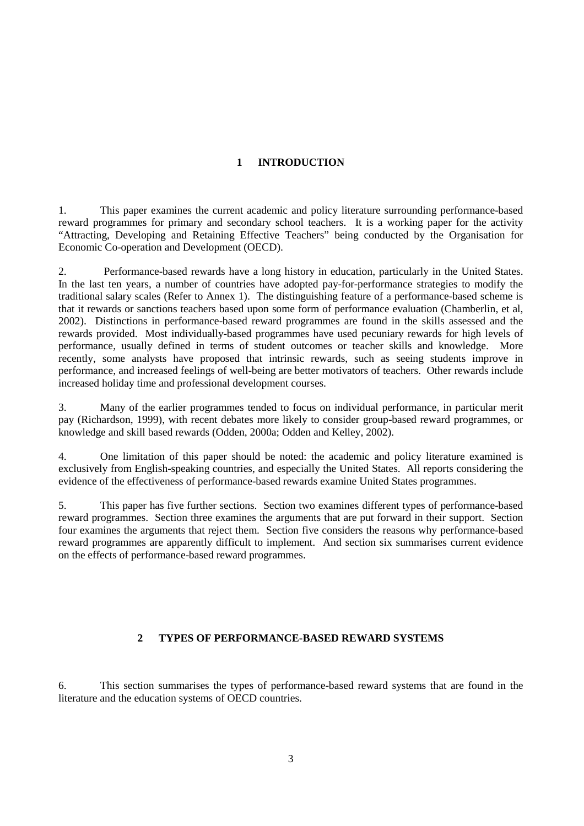# **1 INTRODUCTION**

1. This paper examines the current academic and policy literature surrounding performance-based reward programmes for primary and secondary school teachers. It is a working paper for the activity "Attracting, Developing and Retaining Effective Teachers" being conducted by the Organisation for Economic Co-operation and Development (OECD).

2. Performance-based rewards have a long history in education, particularly in the United States. In the last ten years, a number of countries have adopted pay-for-performance strategies to modify the traditional salary scales (Refer to Annex 1). The distinguishing feature of a performance-based scheme is that it rewards or sanctions teachers based upon some form of performance evaluation (Chamberlin, et al, 2002). Distinctions in performance-based reward programmes are found in the skills assessed and the rewards provided. Most individually-based programmes have used pecuniary rewards for high levels of performance, usually defined in terms of student outcomes or teacher skills and knowledge. More recently, some analysts have proposed that intrinsic rewards, such as seeing students improve in performance, and increased feelings of well-being are better motivators of teachers. Other rewards include increased holiday time and professional development courses.

3. Many of the earlier programmes tended to focus on individual performance, in particular merit pay (Richardson, 1999), with recent debates more likely to consider group-based reward programmes, or knowledge and skill based rewards (Odden, 2000a; Odden and Kelley, 2002).

4. One limitation of this paper should be noted: the academic and policy literature examined is exclusively from English-speaking countries, and especially the United States. All reports considering the evidence of the effectiveness of performance-based rewards examine United States programmes.

5. This paper has five further sections. Section two examines different types of performance-based reward programmes. Section three examines the arguments that are put forward in their support. Section four examines the arguments that reject them. Section five considers the reasons why performance-based reward programmes are apparently difficult to implement. And section six summarises current evidence on the effects of performance-based reward programmes.

# **2 TYPES OF PERFORMANCE-BASED REWARD SYSTEMS**

6. This section summarises the types of performance-based reward systems that are found in the literature and the education systems of OECD countries.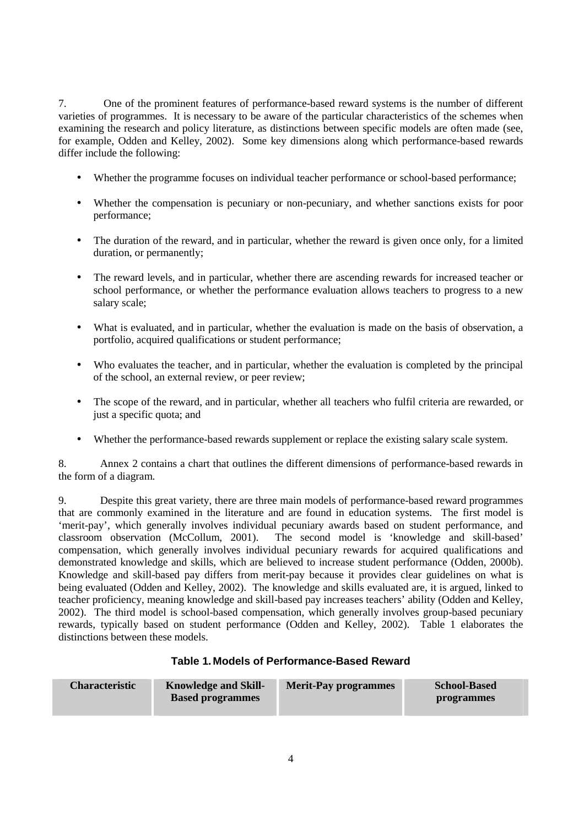7. One of the prominent features of performance-based reward systems is the number of different varieties of programmes. It is necessary to be aware of the particular characteristics of the schemes when examining the research and policy literature, as distinctions between specific models are often made (see, for example, Odden and Kelley, 2002). Some key dimensions along which performance-based rewards differ include the following:

- Whether the programme focuses on individual teacher performance or school-based performance;
- Whether the compensation is pecuniary or non-pecuniary, and whether sanctions exists for poor performance;
- The duration of the reward, and in particular, whether the reward is given once only, for a limited duration, or permanently;
- The reward levels, and in particular, whether there are ascending rewards for increased teacher or school performance, or whether the performance evaluation allows teachers to progress to a new salary scale;
- What is evaluated, and in particular, whether the evaluation is made on the basis of observation, a portfolio, acquired qualifications or student performance;
- Who evaluates the teacher, and in particular, whether the evaluation is completed by the principal of the school, an external review, or peer review;
- The scope of the reward, and in particular, whether all teachers who fulfil criteria are rewarded, or just a specific quota; and
- Whether the performance-based rewards supplement or replace the existing salary scale system.

8. Annex 2 contains a chart that outlines the different dimensions of performance-based rewards in the form of a diagram.

9. Despite this great variety, there are three main models of performance-based reward programmes that are commonly examined in the literature and are found in education systems. The first model is 'merit-pay', which generally involves individual pecuniary awards based on student performance, and classroom observation (McCollum, 2001). The second model is 'knowledge and skill-based' compensation, which generally involves individual pecuniary rewards for acquired qualifications and demonstrated knowledge and skills, which are believed to increase student performance (Odden, 2000b). Knowledge and skill-based pay differs from merit-pay because it provides clear guidelines on what is being evaluated (Odden and Kelley, 2002). The knowledge and skills evaluated are, it is argued, linked to teacher proficiency, meaning knowledge and skill-based pay increases teachers' ability (Odden and Kelley, 2002). The third model is school-based compensation, which generally involves group-based pecuniary rewards, typically based on student performance (Odden and Kelley, 2002). Table 1 elaborates the distinctions between these models.

# **Table 1. Models of Performance-Based Reward**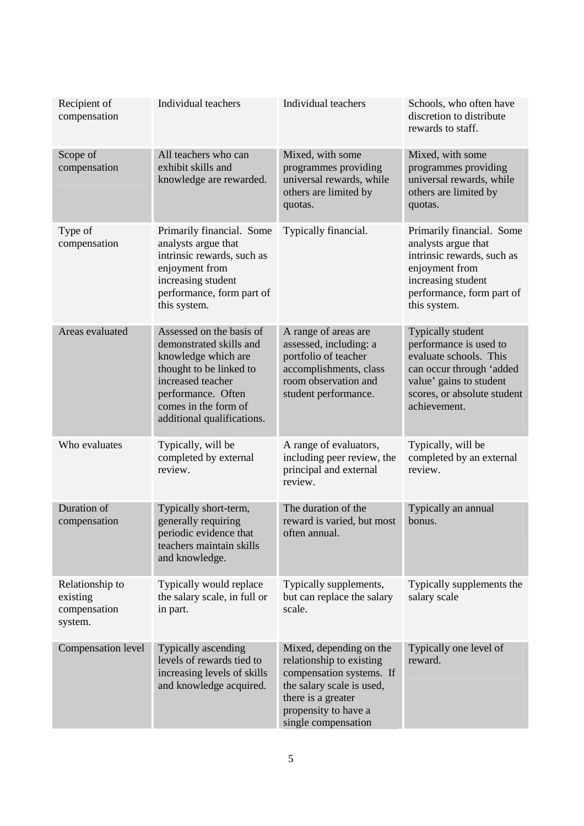| Recipient of<br>compensation                           | Individual teachers                                                                                                                                                                                    | Individual teachers                                                                                                                                                               | Schools, who often have<br>discretion to distribute<br>rewards to staff.                                                                                                    |
|--------------------------------------------------------|--------------------------------------------------------------------------------------------------------------------------------------------------------------------------------------------------------|-----------------------------------------------------------------------------------------------------------------------------------------------------------------------------------|-----------------------------------------------------------------------------------------------------------------------------------------------------------------------------|
| Scope of<br>compensation                               | All teachers who can<br>exhibit skills and<br>knowledge are rewarded.                                                                                                                                  | Mixed, with some<br>programmes providing<br>universal rewards, while<br>others are limited by<br>quotas.                                                                          | Mixed, with some<br>programmes providing<br>universal rewards, while<br>others are limited by<br>quotas.                                                                    |
| Type of<br>compensation                                | Primarily financial. Some<br>analysts argue that<br>intrinsic rewards, such as<br>enjoyment from<br>increasing student<br>performance, form part of<br>this system.                                    | Typically financial.                                                                                                                                                              | Primarily financial. Some<br>analysts argue that<br>intrinsic rewards, such as<br>enjoyment from<br>increasing student<br>performance, form part of<br>this system.         |
| Areas evaluated                                        | Assessed on the basis of<br>demonstrated skills and<br>knowledge which are<br>thought to be linked to<br>increased teacher<br>performance. Often<br>comes in the form of<br>additional qualifications. | A range of areas are<br>assessed, including: a<br>portfolio of teacher<br>accomplishments, class<br>room observation and<br>student performance.                                  | Typically student<br>performance is used to<br>evaluate schools. This<br>can occur through 'added<br>value' gains to student<br>scores, or absolute student<br>achievement. |
| Who evaluates                                          | Typically, will be<br>completed by external<br>review.                                                                                                                                                 | A range of evaluators,<br>including peer review, the<br>principal and external<br>review.                                                                                         | Typically, will be<br>completed by an external<br>review.                                                                                                                   |
| Duration of<br>compensation                            | Typically short-term,<br>generally requiring<br>periodic evidence that<br>teachers maintain skills<br>and knowledge.                                                                                   | The duration of the<br>reward is varied, but most<br>often annual.                                                                                                                | Typically an annual<br>bonus.                                                                                                                                               |
| Relationship to<br>existing<br>compensation<br>system. | Typically would replace<br>the salary scale, in full or<br>in part.                                                                                                                                    | Typically supplements,<br>but can replace the salary<br>scale.                                                                                                                    | Typically supplements the<br>salary scale                                                                                                                                   |
| Compensation level                                     | Typically ascending<br>levels of rewards tied to<br>increasing levels of skills<br>and knowledge acquired.                                                                                             | Mixed, depending on the<br>relationship to existing<br>compensation systems. If<br>the salary scale is used,<br>there is a greater<br>propensity to have a<br>single compensation | Typically one level of<br>reward.                                                                                                                                           |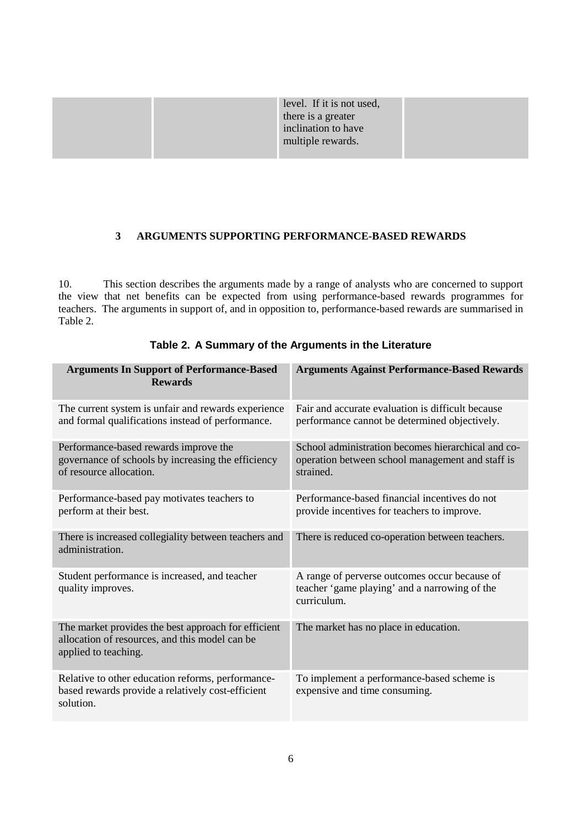| level. If it is not used, |
|---------------------------|
| there is a greater        |
| inclination to have       |
| multiple rewards.         |

# **3 ARGUMENTS SUPPORTING PERFORMANCE-BASED REWARDS**

10. This section describes the arguments made by a range of analysts who are concerned to support the view that net benefits can be expected from using performance-based rewards programmes for teachers. The arguments in support of, and in opposition to, performance-based rewards are summarised in Table 2.

| <b>Arguments In Support of Performance-Based</b><br><b>Rewards</b>                                                            | <b>Arguments Against Performance-Based Rewards</b>                                                                  |
|-------------------------------------------------------------------------------------------------------------------------------|---------------------------------------------------------------------------------------------------------------------|
| The current system is unfair and rewards experience<br>and formal qualifications instead of performance.                      | Fair and accurate evaluation is difficult because<br>performance cannot be determined objectively.                  |
| Performance-based rewards improve the<br>governance of schools by increasing the efficiency<br>of resource allocation.        | School administration becomes hierarchical and co-<br>operation between school management and staff is<br>strained. |
| Performance-based pay motivates teachers to<br>perform at their best.                                                         | Performance-based financial incentives do not<br>provide incentives for teachers to improve.                        |
| There is increased collegiality between teachers and<br>administration.                                                       | There is reduced co-operation between teachers.                                                                     |
| Student performance is increased, and teacher<br>quality improves.                                                            | A range of perverse outcomes occur because of<br>teacher 'game playing' and a narrowing of the<br>curriculum.       |
| The market provides the best approach for efficient<br>allocation of resources, and this model can be<br>applied to teaching. | The market has no place in education.                                                                               |
| Relative to other education reforms, performance-<br>based rewards provide a relatively cost-efficient<br>solution.           | To implement a performance-based scheme is<br>expensive and time consuming.                                         |

# **Table 2. A Summary of the Arguments in the Literature**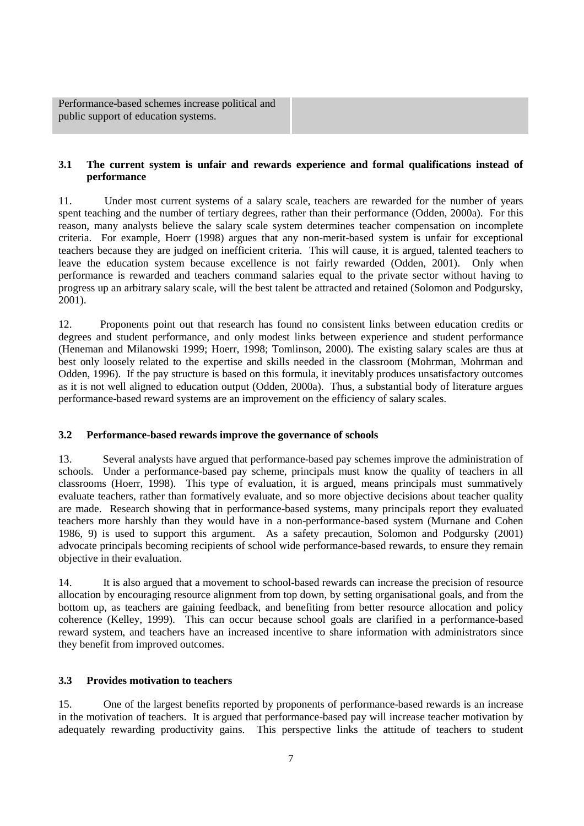Performance-based schemes increase political and public support of education systems.

#### **3.1 The current system is unfair and rewards experience and formal qualifications instead of performance**

11. Under most current systems of a salary scale, teachers are rewarded for the number of years spent teaching and the number of tertiary degrees, rather than their performance (Odden, 2000a). For this reason, many analysts believe the salary scale system determines teacher compensation on incomplete criteria. For example, Hoerr (1998) argues that any non-merit-based system is unfair for exceptional teachers because they are judged on inefficient criteria. This will cause, it is argued, talented teachers to leave the education system because excellence is not fairly rewarded (Odden, 2001). Only when performance is rewarded and teachers command salaries equal to the private sector without having to progress up an arbitrary salary scale, will the best talent be attracted and retained (Solomon and Podgursky, 2001).

12. Proponents point out that research has found no consistent links between education credits or degrees and student performance, and only modest links between experience and student performance (Heneman and Milanowski 1999; Hoerr, 1998; Tomlinson, 2000). The existing salary scales are thus at best only loosely related to the expertise and skills needed in the classroom (Mohrman, Mohrman and Odden, 1996). If the pay structure is based on this formula, it inevitably produces unsatisfactory outcomes as it is not well aligned to education output (Odden, 2000a). Thus, a substantial body of literature argues performance-based reward systems are an improvement on the efficiency of salary scales.

# **3.2 Performance-based rewards improve the governance of schools**

13. Several analysts have argued that performance-based pay schemes improve the administration of schools. Under a performance-based pay scheme, principals must know the quality of teachers in all classrooms (Hoerr, 1998). This type of evaluation, it is argued, means principals must summatively evaluate teachers, rather than formatively evaluate, and so more objective decisions about teacher quality are made. Research showing that in performance-based systems, many principals report they evaluated teachers more harshly than they would have in a non-performance-based system (Murnane and Cohen 1986, 9) is used to support this argument. As a safety precaution, Solomon and Podgursky (2001) advocate principals becoming recipients of school wide performance-based rewards, to ensure they remain objective in their evaluation.

14. It is also argued that a movement to school-based rewards can increase the precision of resource allocation by encouraging resource alignment from top down, by setting organisational goals, and from the bottom up, as teachers are gaining feedback, and benefiting from better resource allocation and policy coherence (Kelley, 1999). This can occur because school goals are clarified in a performance-based reward system, and teachers have an increased incentive to share information with administrators since they benefit from improved outcomes.

#### **3.3 Provides motivation to teachers**

15. One of the largest benefits reported by proponents of performance-based rewards is an increase in the motivation of teachers. It is argued that performance-based pay will increase teacher motivation by adequately rewarding productivity gains. This perspective links the attitude of teachers to student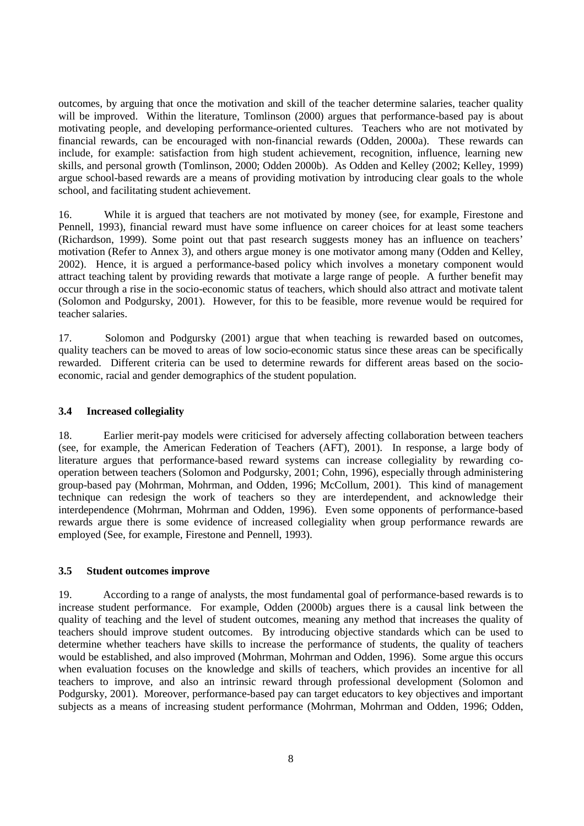outcomes, by arguing that once the motivation and skill of the teacher determine salaries, teacher quality will be improved. Within the literature, Tomlinson (2000) argues that performance-based pay is about motivating people, and developing performance-oriented cultures. Teachers who are not motivated by financial rewards, can be encouraged with non-financial rewards (Odden, 2000a). These rewards can include, for example: satisfaction from high student achievement, recognition, influence, learning new skills, and personal growth (Tomlinson, 2000; Odden 2000b). As Odden and Kelley (2002; Kelley, 1999) argue school-based rewards are a means of providing motivation by introducing clear goals to the whole school, and facilitating student achievement.

16. While it is argued that teachers are not motivated by money (see, for example, Firestone and Pennell, 1993), financial reward must have some influence on career choices for at least some teachers (Richardson, 1999). Some point out that past research suggests money has an influence on teachers' motivation (Refer to Annex 3), and others argue money is one motivator among many (Odden and Kelley, 2002). Hence, it is argued a performance-based policy which involves a monetary component would attract teaching talent by providing rewards that motivate a large range of people. A further benefit may occur through a rise in the socio-economic status of teachers, which should also attract and motivate talent (Solomon and Podgursky, 2001). However, for this to be feasible, more revenue would be required for teacher salaries.

17. Solomon and Podgursky (2001) argue that when teaching is rewarded based on outcomes, quality teachers can be moved to areas of low socio-economic status since these areas can be specifically rewarded. Different criteria can be used to determine rewards for different areas based on the socioeconomic, racial and gender demographics of the student population.

# **3.4 Increased collegiality**

18. Earlier merit-pay models were criticised for adversely affecting collaboration between teachers (see, for example, the American Federation of Teachers (AFT), 2001). In response, a large body of literature argues that performance-based reward systems can increase collegiality by rewarding cooperation between teachers (Solomon and Podgursky, 2001; Cohn, 1996), especially through administering group-based pay (Mohrman, Mohrman, and Odden, 1996; McCollum, 2001). This kind of management technique can redesign the work of teachers so they are interdependent, and acknowledge their interdependence (Mohrman, Mohrman and Odden, 1996). Even some opponents of performance-based rewards argue there is some evidence of increased collegiality when group performance rewards are employed (See, for example, Firestone and Pennell, 1993).

# **3.5 Student outcomes improve**

19. According to a range of analysts, the most fundamental goal of performance-based rewards is to increase student performance. For example, Odden (2000b) argues there is a causal link between the quality of teaching and the level of student outcomes, meaning any method that increases the quality of teachers should improve student outcomes. By introducing objective standards which can be used to determine whether teachers have skills to increase the performance of students, the quality of teachers would be established, and also improved (Mohrman, Mohrman and Odden, 1996). Some argue this occurs when evaluation focuses on the knowledge and skills of teachers, which provides an incentive for all teachers to improve, and also an intrinsic reward through professional development (Solomon and Podgursky, 2001). Moreover, performance-based pay can target educators to key objectives and important subjects as a means of increasing student performance (Mohrman, Mohrman and Odden, 1996; Odden,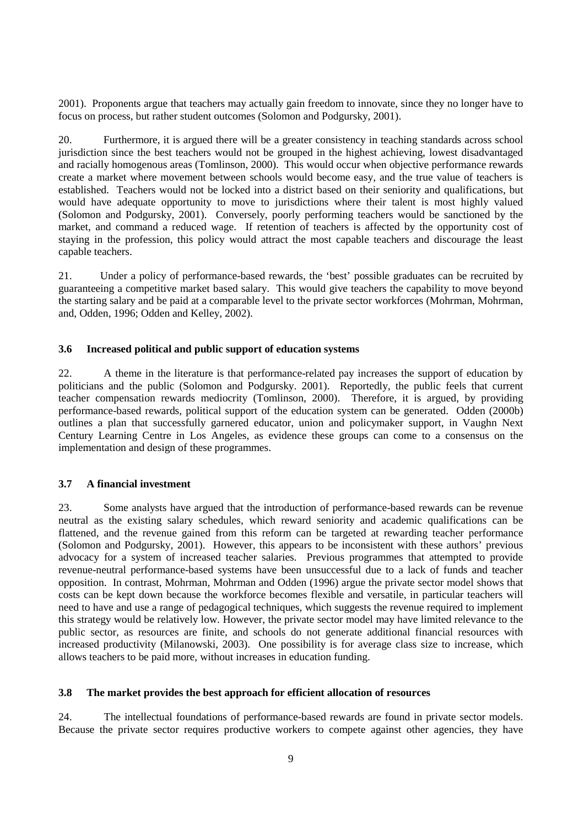2001). Proponents argue that teachers may actually gain freedom to innovate, since they no longer have to focus on process, but rather student outcomes (Solomon and Podgursky, 2001).

20. Furthermore, it is argued there will be a greater consistency in teaching standards across school jurisdiction since the best teachers would not be grouped in the highest achieving, lowest disadvantaged and racially homogenous areas (Tomlinson, 2000). This would occur when objective performance rewards create a market where movement between schools would become easy, and the true value of teachers is established. Teachers would not be locked into a district based on their seniority and qualifications, but would have adequate opportunity to move to jurisdictions where their talent is most highly valued (Solomon and Podgursky, 2001). Conversely, poorly performing teachers would be sanctioned by the market, and command a reduced wage. If retention of teachers is affected by the opportunity cost of staying in the profession, this policy would attract the most capable teachers and discourage the least capable teachers.

21. Under a policy of performance-based rewards, the 'best' possible graduates can be recruited by guaranteeing a competitive market based salary. This would give teachers the capability to move beyond the starting salary and be paid at a comparable level to the private sector workforces (Mohrman, Mohrman, and, Odden, 1996; Odden and Kelley, 2002).

#### **3.6 Increased political and public support of education systems**

22. A theme in the literature is that performance-related pay increases the support of education by politicians and the public (Solomon and Podgursky. 2001). Reportedly, the public feels that current teacher compensation rewards mediocrity (Tomlinson, 2000). Therefore, it is argued, by providing performance-based rewards, political support of the education system can be generated. Odden (2000b) outlines a plan that successfully garnered educator, union and policymaker support, in Vaughn Next Century Learning Centre in Los Angeles, as evidence these groups can come to a consensus on the implementation and design of these programmes.

#### **3.7 A financial investment**

23. Some analysts have argued that the introduction of performance-based rewards can be revenue neutral as the existing salary schedules, which reward seniority and academic qualifications can be flattened, and the revenue gained from this reform can be targeted at rewarding teacher performance (Solomon and Podgursky, 2001). However, this appears to be inconsistent with these authors' previous advocacy for a system of increased teacher salaries. Previous programmes that attempted to provide revenue-neutral performance-based systems have been unsuccessful due to a lack of funds and teacher opposition. In contrast, Mohrman, Mohrman and Odden (1996) argue the private sector model shows that costs can be kept down because the workforce becomes flexible and versatile, in particular teachers will need to have and use a range of pedagogical techniques, which suggests the revenue required to implement this strategy would be relatively low. However, the private sector model may have limited relevance to the public sector, as resources are finite, and schools do not generate additional financial resources with increased productivity (Milanowski, 2003). One possibility is for average class size to increase, which allows teachers to be paid more, without increases in education funding.

#### **3.8 The market provides the best approach for efficient allocation of resources**

24. The intellectual foundations of performance-based rewards are found in private sector models. Because the private sector requires productive workers to compete against other agencies, they have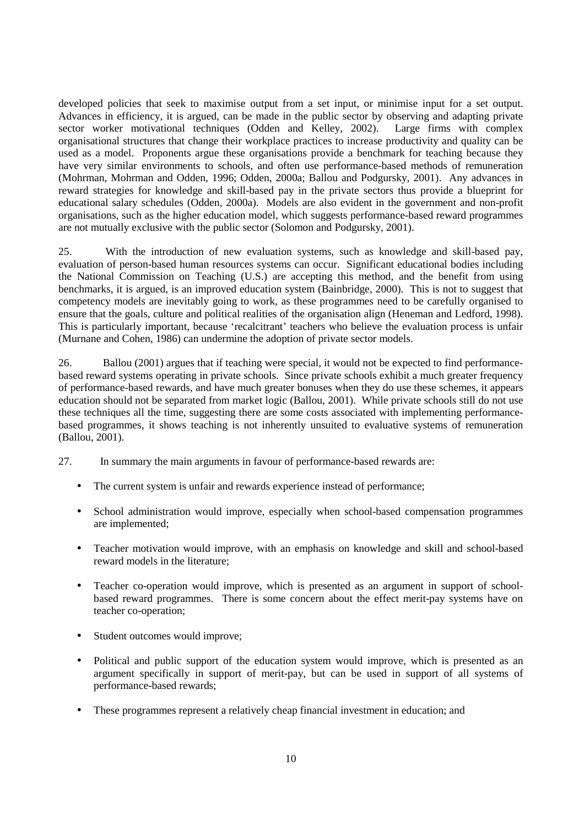developed policies that seek to maximise output from a set input, or minimise input for a set output. Advances in efficiency, it is argued, can be made in the public sector by observing and adapting private sector worker motivational techniques (Odden and Kelley, 2002). Large firms with complex organisational structures that change their workplace practices to increase productivity and quality can be used as a model. Proponents argue these organisations provide a benchmark for teaching because they have very similar environments to schools, and often use performance-based methods of remuneration (Mohrman, Mohrman and Odden, 1996; Odden, 2000a; Ballou and Podgursky, 2001). Any advances in reward strategies for knowledge and skill-based pay in the private sectors thus provide a blueprint for educational salary schedules (Odden, 2000a). Models are also evident in the government and non-profit organisations, such as the higher education model, which suggests performance-based reward programmes are not mutually exclusive with the public sector (Solomon and Podgursky, 2001).

25. With the introduction of new evaluation systems, such as knowledge and skill-based pay, evaluation of person-based human resources systems can occur. Significant educational bodies including the National Commission on Teaching (U.S.) are accepting this method, and the benefit from using benchmarks, it is argued, is an improved education system (Bainbridge, 2000). This is not to suggest that competency models are inevitably going to work, as these programmes need to be carefully organised to ensure that the goals, culture and political realities of the organisation align (Heneman and Ledford, 1998). This is particularly important, because 'recalcitrant' teachers who believe the evaluation process is unfair (Murnane and Cohen, 1986) can undermine the adoption of private sector models.

26. Ballou (2001) argues that if teaching were special, it would not be expected to find performancebased reward systems operating in private schools. Since private schools exhibit a much greater frequency of performance-based rewards, and have much greater bonuses when they do use these schemes, it appears education should not be separated from market logic (Ballou, 2001). While private schools still do not use these techniques all the time, suggesting there are some costs associated with implementing performancebased programmes, it shows teaching is not inherently unsuited to evaluative systems of remuneration (Ballou, 2001).

- 27. In summary the main arguments in favour of performance-based rewards are:
	- The current system is unfair and rewards experience instead of performance;
	- School administration would improve, especially when school-based compensation programmes are implemented;
	- Teacher motivation would improve, with an emphasis on knowledge and skill and school-based reward models in the literature;
	- Teacher co-operation would improve, which is presented as an argument in support of schoolbased reward programmes. There is some concern about the effect merit-pay systems have on teacher co-operation;
	- Student outcomes would improve;
	- Political and public support of the education system would improve, which is presented as an argument specifically in support of merit-pay, but can be used in support of all systems of performance-based rewards;
	- These programmes represent a relatively cheap financial investment in education; and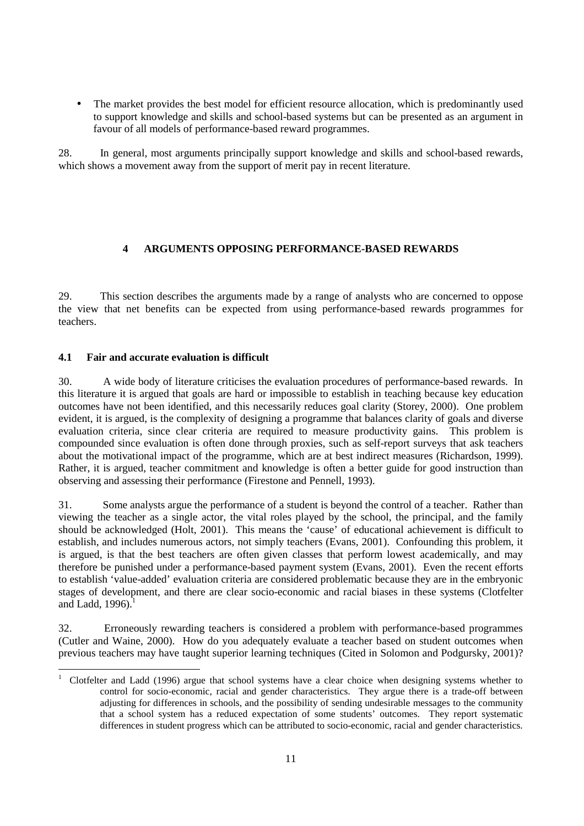• The market provides the best model for efficient resource allocation, which is predominantly used to support knowledge and skills and school-based systems but can be presented as an argument in favour of all models of performance-based reward programmes.

28. In general, most arguments principally support knowledge and skills and school-based rewards, which shows a movement away from the support of merit pay in recent literature.

# **4 ARGUMENTS OPPOSING PERFORMANCE-BASED REWARDS**

29. This section describes the arguments made by a range of analysts who are concerned to oppose the view that net benefits can be expected from using performance-based rewards programmes for teachers.

# **4.1 Fair and accurate evaluation is difficult**

30. A wide body of literature criticises the evaluation procedures of performance-based rewards. In this literature it is argued that goals are hard or impossible to establish in teaching because key education outcomes have not been identified, and this necessarily reduces goal clarity (Storey, 2000). One problem evident, it is argued, is the complexity of designing a programme that balances clarity of goals and diverse evaluation criteria, since clear criteria are required to measure productivity gains. This problem is compounded since evaluation is often done through proxies, such as self-report surveys that ask teachers about the motivational impact of the programme, which are at best indirect measures (Richardson, 1999). Rather, it is argued, teacher commitment and knowledge is often a better guide for good instruction than observing and assessing their performance (Firestone and Pennell, 1993).

31. Some analysts argue the performance of a student is beyond the control of a teacher. Rather than viewing the teacher as a single actor, the vital roles played by the school, the principal, and the family should be acknowledged (Holt, 2001). This means the 'cause' of educational achievement is difficult to establish, and includes numerous actors, not simply teachers (Evans, 2001). Confounding this problem, it is argued, is that the best teachers are often given classes that perform lowest academically, and may therefore be punished under a performance-based payment system (Evans, 2001). Even the recent efforts to establish 'value-added' evaluation criteria are considered problematic because they are in the embryonic stages of development, and there are clear socio-economic and racial biases in these systems (Clotfelter and Ladd,  $1996$ ).<sup>1</sup>

32. Erroneously rewarding teachers is considered a problem with performance-based programmes (Cutler and Waine, 2000). How do you adequately evaluate a teacher based on student outcomes when previous teachers may have taught superior learning techniques (Cited in Solomon and Podgursky, 2001)?

 $\overline{a}$ 1 Clotfelter and Ladd (1996) argue that school systems have a clear choice when designing systems whether to control for socio-economic, racial and gender characteristics. They argue there is a trade-off between adjusting for differences in schools, and the possibility of sending undesirable messages to the community that a school system has a reduced expectation of some students' outcomes. They report systematic differences in student progress which can be attributed to socio-economic, racial and gender characteristics.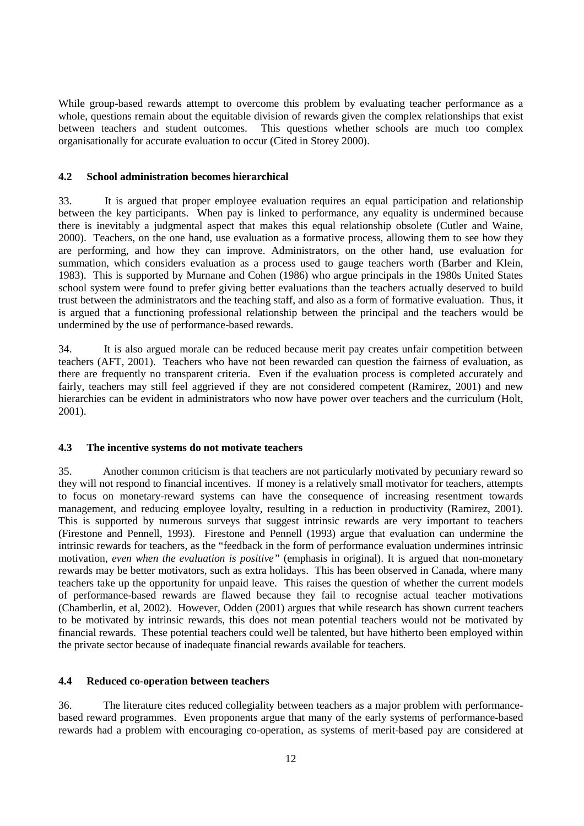While group-based rewards attempt to overcome this problem by evaluating teacher performance as a whole, questions remain about the equitable division of rewards given the complex relationships that exist between teachers and student outcomes. This questions whether schools are much too complex organisationally for accurate evaluation to occur (Cited in Storey 2000).

#### **4.2 School administration becomes hierarchical**

33. It is argued that proper employee evaluation requires an equal participation and relationship between the key participants. When pay is linked to performance, any equality is undermined because there is inevitably a judgmental aspect that makes this equal relationship obsolete (Cutler and Waine, 2000). Teachers, on the one hand, use evaluation as a formative process, allowing them to see how they are performing, and how they can improve. Administrators, on the other hand, use evaluation for summation, which considers evaluation as a process used to gauge teachers worth (Barber and Klein, 1983). This is supported by Murnane and Cohen (1986) who argue principals in the 1980s United States school system were found to prefer giving better evaluations than the teachers actually deserved to build trust between the administrators and the teaching staff, and also as a form of formative evaluation. Thus, it is argued that a functioning professional relationship between the principal and the teachers would be undermined by the use of performance-based rewards.

34. It is also argued morale can be reduced because merit pay creates unfair competition between teachers (AFT, 2001). Teachers who have not been rewarded can question the fairness of evaluation, as there are frequently no transparent criteria. Even if the evaluation process is completed accurately and fairly, teachers may still feel aggrieved if they are not considered competent (Ramirez, 2001) and new hierarchies can be evident in administrators who now have power over teachers and the curriculum (Holt, 2001).

# **4.3 The incentive systems do not motivate teachers**

35. Another common criticism is that teachers are not particularly motivated by pecuniary reward so they will not respond to financial incentives. If money is a relatively small motivator for teachers, attempts to focus on monetary-reward systems can have the consequence of increasing resentment towards management, and reducing employee loyalty, resulting in a reduction in productivity (Ramirez, 2001). This is supported by numerous surveys that suggest intrinsic rewards are very important to teachers (Firestone and Pennell, 1993). Firestone and Pennell (1993) argue that evaluation can undermine the intrinsic rewards for teachers, as the "feedback in the form of performance evaluation undermines intrinsic motivation, *even when the evaluation is positive"* (emphasis in original). It is argued that non-monetary rewards may be better motivators, such as extra holidays. This has been observed in Canada, where many teachers take up the opportunity for unpaid leave. This raises the question of whether the current models of performance-based rewards are flawed because they fail to recognise actual teacher motivations (Chamberlin, et al, 2002). However, Odden (2001) argues that while research has shown current teachers to be motivated by intrinsic rewards, this does not mean potential teachers would not be motivated by financial rewards. These potential teachers could well be talented, but have hitherto been employed within the private sector because of inadequate financial rewards available for teachers.

#### **4.4 Reduced co-operation between teachers**

36. The literature cites reduced collegiality between teachers as a major problem with performancebased reward programmes. Even proponents argue that many of the early systems of performance-based rewards had a problem with encouraging co-operation, as systems of merit-based pay are considered at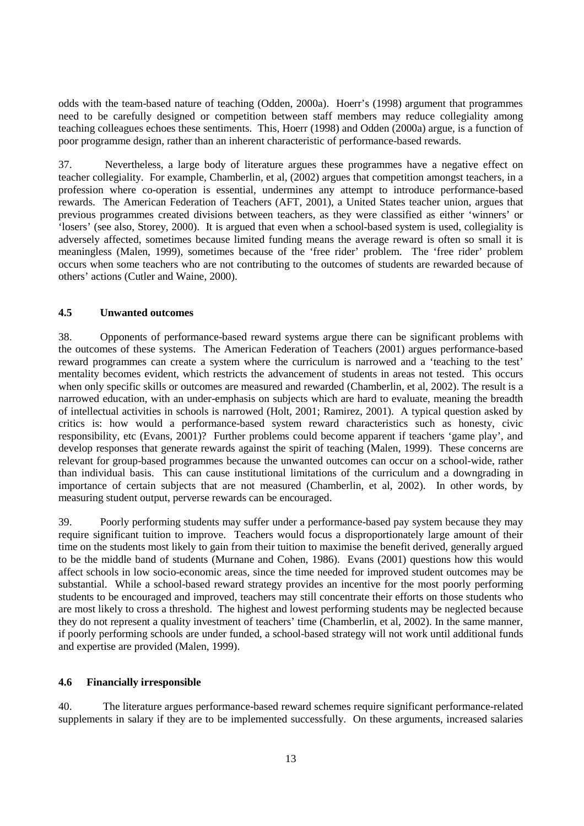odds with the team-based nature of teaching (Odden, 2000a). Hoerr's (1998) argument that programmes need to be carefully designed or competition between staff members may reduce collegiality among teaching colleagues echoes these sentiments. This, Hoerr (1998) and Odden (2000a) argue, is a function of poor programme design, rather than an inherent characteristic of performance-based rewards.

37. Nevertheless, a large body of literature argues these programmes have a negative effect on teacher collegiality. For example, Chamberlin, et al, (2002) argues that competition amongst teachers, in a profession where co-operation is essential, undermines any attempt to introduce performance-based rewards. The American Federation of Teachers (AFT, 2001), a United States teacher union, argues that previous programmes created divisions between teachers, as they were classified as either 'winners' or 'losers' (see also, Storey, 2000). It is argued that even when a school-based system is used, collegiality is adversely affected, sometimes because limited funding means the average reward is often so small it is meaningless (Malen, 1999), sometimes because of the 'free rider' problem. The 'free rider' problem occurs when some teachers who are not contributing to the outcomes of students are rewarded because of others' actions (Cutler and Waine, 2000).

#### **4.5 Unwanted outcomes**

38. Opponents of performance-based reward systems argue there can be significant problems with the outcomes of these systems. The American Federation of Teachers (2001) argues performance-based reward programmes can create a system where the curriculum is narrowed and a 'teaching to the test' mentality becomes evident, which restricts the advancement of students in areas not tested. This occurs when only specific skills or outcomes are measured and rewarded (Chamberlin, et al, 2002). The result is a narrowed education, with an under-emphasis on subjects which are hard to evaluate, meaning the breadth of intellectual activities in schools is narrowed (Holt, 2001; Ramirez, 2001). A typical question asked by critics is: how would a performance-based system reward characteristics such as honesty, civic responsibility, etc (Evans, 2001)? Further problems could become apparent if teachers 'game play', and develop responses that generate rewards against the spirit of teaching (Malen, 1999). These concerns are relevant for group-based programmes because the unwanted outcomes can occur on a school-wide, rather than individual basis. This can cause institutional limitations of the curriculum and a downgrading in importance of certain subjects that are not measured (Chamberlin, et al, 2002). In other words, by measuring student output, perverse rewards can be encouraged.

39. Poorly performing students may suffer under a performance-based pay system because they may require significant tuition to improve. Teachers would focus a disproportionately large amount of their time on the students most likely to gain from their tuition to maximise the benefit derived, generally argued to be the middle band of students (Murnane and Cohen, 1986). Evans (2001) questions how this would affect schools in low socio-economic areas, since the time needed for improved student outcomes may be substantial. While a school-based reward strategy provides an incentive for the most poorly performing students to be encouraged and improved, teachers may still concentrate their efforts on those students who are most likely to cross a threshold. The highest and lowest performing students may be neglected because they do not represent a quality investment of teachers' time (Chamberlin, et al, 2002). In the same manner, if poorly performing schools are under funded, a school-based strategy will not work until additional funds and expertise are provided (Malen, 1999).

#### **4.6 Financially irresponsible**

40. The literature argues performance-based reward schemes require significant performance-related supplements in salary if they are to be implemented successfully. On these arguments, increased salaries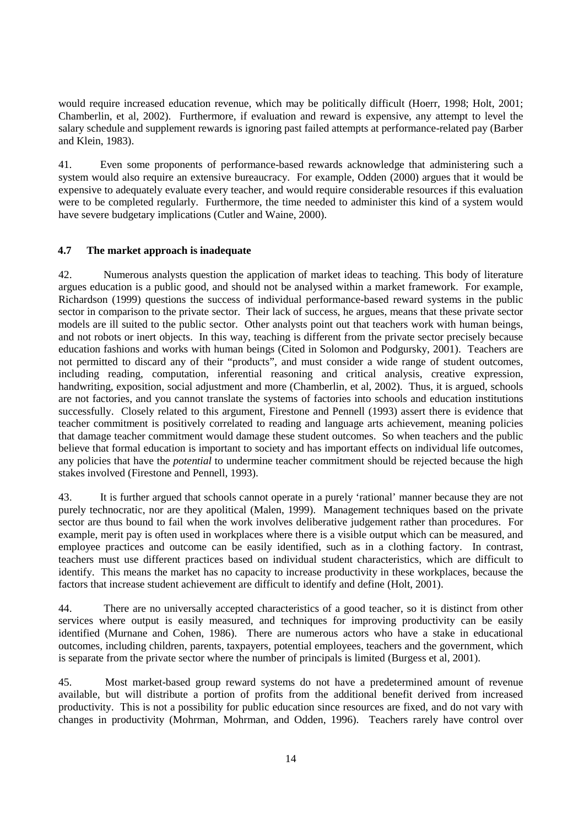would require increased education revenue, which may be politically difficult (Hoerr, 1998; Holt, 2001; Chamberlin, et al, 2002). Furthermore, if evaluation and reward is expensive, any attempt to level the salary schedule and supplement rewards is ignoring past failed attempts at performance-related pay (Barber and Klein, 1983).

41. Even some proponents of performance-based rewards acknowledge that administering such a system would also require an extensive bureaucracy. For example, Odden (2000) argues that it would be expensive to adequately evaluate every teacher, and would require considerable resources if this evaluation were to be completed regularly. Furthermore, the time needed to administer this kind of a system would have severe budgetary implications (Cutler and Waine, 2000).

# **4.7 The market approach is inadequate**

42. Numerous analysts question the application of market ideas to teaching. This body of literature argues education is a public good, and should not be analysed within a market framework. For example, Richardson (1999) questions the success of individual performance-based reward systems in the public sector in comparison to the private sector. Their lack of success, he argues, means that these private sector models are ill suited to the public sector. Other analysts point out that teachers work with human beings, and not robots or inert objects. In this way, teaching is different from the private sector precisely because education fashions and works with human beings (Cited in Solomon and Podgursky, 2001). Teachers are not permitted to discard any of their "products", and must consider a wide range of student outcomes, including reading, computation, inferential reasoning and critical analysis, creative expression, handwriting, exposition, social adjustment and more (Chamberlin, et al, 2002). Thus, it is argued, schools are not factories, and you cannot translate the systems of factories into schools and education institutions successfully. Closely related to this argument, Firestone and Pennell (1993) assert there is evidence that teacher commitment is positively correlated to reading and language arts achievement, meaning policies that damage teacher commitment would damage these student outcomes. So when teachers and the public believe that formal education is important to society and has important effects on individual life outcomes, any policies that have the *potential* to undermine teacher commitment should be rejected because the high stakes involved (Firestone and Pennell, 1993).

43. It is further argued that schools cannot operate in a purely 'rational' manner because they are not purely technocratic, nor are they apolitical (Malen, 1999). Management techniques based on the private sector are thus bound to fail when the work involves deliberative judgement rather than procedures. For example, merit pay is often used in workplaces where there is a visible output which can be measured, and employee practices and outcome can be easily identified, such as in a clothing factory. In contrast, teachers must use different practices based on individual student characteristics, which are difficult to identify. This means the market has no capacity to increase productivity in these workplaces, because the factors that increase student achievement are difficult to identify and define (Holt, 2001).

44. There are no universally accepted characteristics of a good teacher, so it is distinct from other services where output is easily measured, and techniques for improving productivity can be easily identified (Murnane and Cohen, 1986). There are numerous actors who have a stake in educational outcomes, including children, parents, taxpayers, potential employees, teachers and the government, which is separate from the private sector where the number of principals is limited (Burgess et al, 2001).

45. Most market-based group reward systems do not have a predetermined amount of revenue available, but will distribute a portion of profits from the additional benefit derived from increased productivity. This is not a possibility for public education since resources are fixed, and do not vary with changes in productivity (Mohrman, Mohrman, and Odden, 1996). Teachers rarely have control over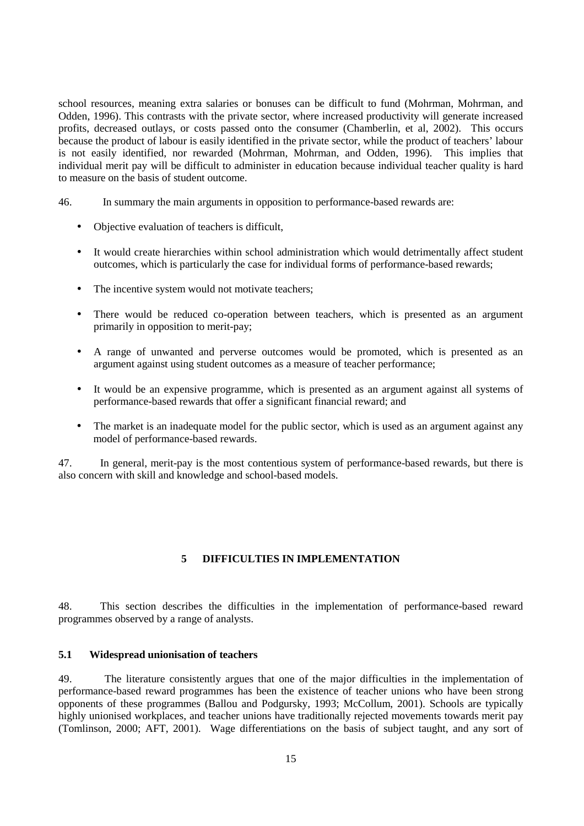school resources, meaning extra salaries or bonuses can be difficult to fund (Mohrman, Mohrman, and Odden, 1996). This contrasts with the private sector, where increased productivity will generate increased profits, decreased outlays, or costs passed onto the consumer (Chamberlin, et al, 2002). This occurs because the product of labour is easily identified in the private sector, while the product of teachers' labour is not easily identified, nor rewarded (Mohrman, Mohrman, and Odden, 1996). This implies that individual merit pay will be difficult to administer in education because individual teacher quality is hard to measure on the basis of student outcome.

46. In summary the main arguments in opposition to performance-based rewards are:

- Objective evaluation of teachers is difficult,
- It would create hierarchies within school administration which would detrimentally affect student outcomes, which is particularly the case for individual forms of performance-based rewards;
- The incentive system would not motivate teachers:
- There would be reduced co-operation between teachers, which is presented as an argument primarily in opposition to merit-pay;
- A range of unwanted and perverse outcomes would be promoted, which is presented as an argument against using student outcomes as a measure of teacher performance;
- It would be an expensive programme, which is presented as an argument against all systems of performance-based rewards that offer a significant financial reward; and
- The market is an inadequate model for the public sector, which is used as an argument against any model of performance-based rewards.

47. In general, merit-pay is the most contentious system of performance-based rewards, but there is also concern with skill and knowledge and school-based models.

#### **5 DIFFICULTIES IN IMPLEMENTATION**

48. This section describes the difficulties in the implementation of performance-based reward programmes observed by a range of analysts.

#### **5.1 Widespread unionisation of teachers**

49. The literature consistently argues that one of the major difficulties in the implementation of performance-based reward programmes has been the existence of teacher unions who have been strong opponents of these programmes (Ballou and Podgursky, 1993; McCollum, 2001). Schools are typically highly unionised workplaces, and teacher unions have traditionally rejected movements towards merit pay (Tomlinson, 2000; AFT, 2001). Wage differentiations on the basis of subject taught, and any sort of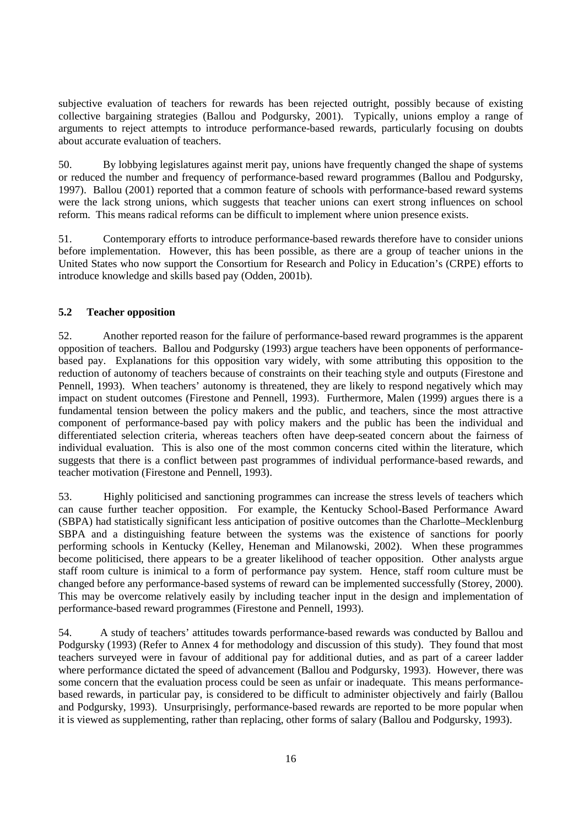subjective evaluation of teachers for rewards has been rejected outright, possibly because of existing collective bargaining strategies (Ballou and Podgursky, 2001). Typically, unions employ a range of arguments to reject attempts to introduce performance-based rewards, particularly focusing on doubts about accurate evaluation of teachers.

50. By lobbying legislatures against merit pay, unions have frequently changed the shape of systems or reduced the number and frequency of performance-based reward programmes (Ballou and Podgursky, 1997). Ballou (2001) reported that a common feature of schools with performance-based reward systems were the lack strong unions, which suggests that teacher unions can exert strong influences on school reform. This means radical reforms can be difficult to implement where union presence exists.

51. Contemporary efforts to introduce performance-based rewards therefore have to consider unions before implementation. However, this has been possible, as there are a group of teacher unions in the United States who now support the Consortium for Research and Policy in Education's (CRPE) efforts to introduce knowledge and skills based pay (Odden, 2001b).

# **5.2 Teacher opposition**

52. Another reported reason for the failure of performance-based reward programmes is the apparent opposition of teachers. Ballou and Podgursky (1993) argue teachers have been opponents of performancebased pay. Explanations for this opposition vary widely, with some attributing this opposition to the reduction of autonomy of teachers because of constraints on their teaching style and outputs (Firestone and Pennell, 1993). When teachers' autonomy is threatened, they are likely to respond negatively which may impact on student outcomes (Firestone and Pennell, 1993). Furthermore, Malen (1999) argues there is a fundamental tension between the policy makers and the public, and teachers, since the most attractive component of performance-based pay with policy makers and the public has been the individual and differentiated selection criteria, whereas teachers often have deep-seated concern about the fairness of individual evaluation. This is also one of the most common concerns cited within the literature, which suggests that there is a conflict between past programmes of individual performance-based rewards, and teacher motivation (Firestone and Pennell, 1993).

53. Highly politicised and sanctioning programmes can increase the stress levels of teachers which can cause further teacher opposition. For example, the Kentucky School-Based Performance Award (SBPA) had statistically significant less anticipation of positive outcomes than the Charlotte–Mecklenburg SBPA and a distinguishing feature between the systems was the existence of sanctions for poorly performing schools in Kentucky (Kelley, Heneman and Milanowski, 2002). When these programmes become politicised, there appears to be a greater likelihood of teacher opposition. Other analysts argue staff room culture is inimical to a form of performance pay system. Hence, staff room culture must be changed before any performance-based systems of reward can be implemented successfully (Storey, 2000). This may be overcome relatively easily by including teacher input in the design and implementation of performance-based reward programmes (Firestone and Pennell, 1993).

54. A study of teachers' attitudes towards performance-based rewards was conducted by Ballou and Podgursky (1993) (Refer to Annex 4 for methodology and discussion of this study). They found that most teachers surveyed were in favour of additional pay for additional duties, and as part of a career ladder where performance dictated the speed of advancement (Ballou and Podgursky, 1993). However, there was some concern that the evaluation process could be seen as unfair or inadequate. This means performancebased rewards, in particular pay, is considered to be difficult to administer objectively and fairly (Ballou and Podgursky, 1993). Unsurprisingly, performance-based rewards are reported to be more popular when it is viewed as supplementing, rather than replacing, other forms of salary (Ballou and Podgursky, 1993).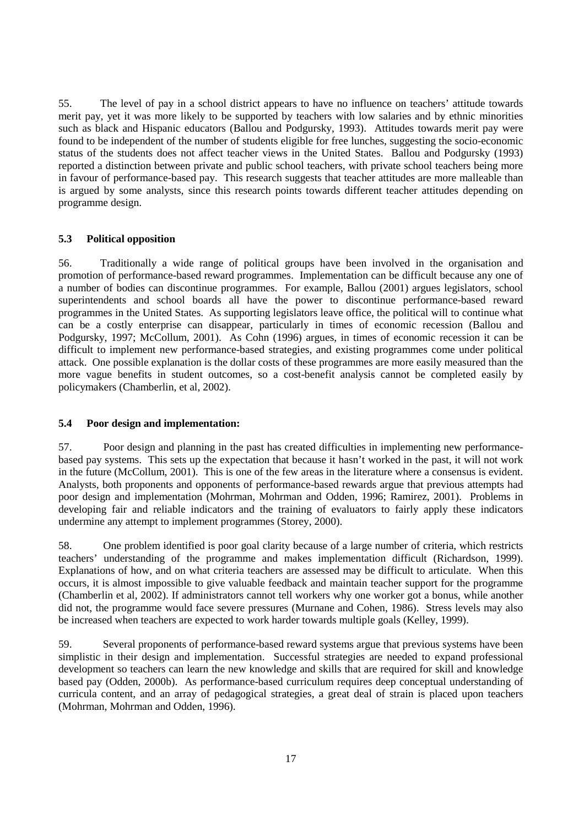55. The level of pay in a school district appears to have no influence on teachers' attitude towards merit pay, yet it was more likely to be supported by teachers with low salaries and by ethnic minorities such as black and Hispanic educators (Ballou and Podgursky, 1993). Attitudes towards merit pay were found to be independent of the number of students eligible for free lunches, suggesting the socio-economic status of the students does not affect teacher views in the United States. Ballou and Podgursky (1993) reported a distinction between private and public school teachers, with private school teachers being more in favour of performance-based pay. This research suggests that teacher attitudes are more malleable than is argued by some analysts, since this research points towards different teacher attitudes depending on programme design.

# **5.3 Political opposition**

56. Traditionally a wide range of political groups have been involved in the organisation and promotion of performance-based reward programmes. Implementation can be difficult because any one of a number of bodies can discontinue programmes. For example, Ballou (2001) argues legislators, school superintendents and school boards all have the power to discontinue performance-based reward programmes in the United States. As supporting legislators leave office, the political will to continue what can be a costly enterprise can disappear, particularly in times of economic recession (Ballou and Podgursky, 1997; McCollum, 2001). As Cohn (1996) argues, in times of economic recession it can be difficult to implement new performance-based strategies, and existing programmes come under political attack. One possible explanation is the dollar costs of these programmes are more easily measured than the more vague benefits in student outcomes, so a cost-benefit analysis cannot be completed easily by policymakers (Chamberlin, et al, 2002).

#### **5.4 Poor design and implementation:**

57. Poor design and planning in the past has created difficulties in implementing new performancebased pay systems. This sets up the expectation that because it hasn't worked in the past, it will not work in the future (McCollum, 2001). This is one of the few areas in the literature where a consensus is evident. Analysts, both proponents and opponents of performance-based rewards argue that previous attempts had poor design and implementation (Mohrman, Mohrman and Odden, 1996; Ramirez, 2001). Problems in developing fair and reliable indicators and the training of evaluators to fairly apply these indicators undermine any attempt to implement programmes (Storey, 2000).

58. One problem identified is poor goal clarity because of a large number of criteria, which restricts teachers' understanding of the programme and makes implementation difficult (Richardson, 1999). Explanations of how, and on what criteria teachers are assessed may be difficult to articulate. When this occurs, it is almost impossible to give valuable feedback and maintain teacher support for the programme (Chamberlin et al, 2002). If administrators cannot tell workers why one worker got a bonus, while another did not, the programme would face severe pressures (Murnane and Cohen, 1986). Stress levels may also be increased when teachers are expected to work harder towards multiple goals (Kelley, 1999).

59. Several proponents of performance-based reward systems argue that previous systems have been simplistic in their design and implementation. Successful strategies are needed to expand professional development so teachers can learn the new knowledge and skills that are required for skill and knowledge based pay (Odden, 2000b). As performance-based curriculum requires deep conceptual understanding of curricula content, and an array of pedagogical strategies, a great deal of strain is placed upon teachers (Mohrman, Mohrman and Odden, 1996).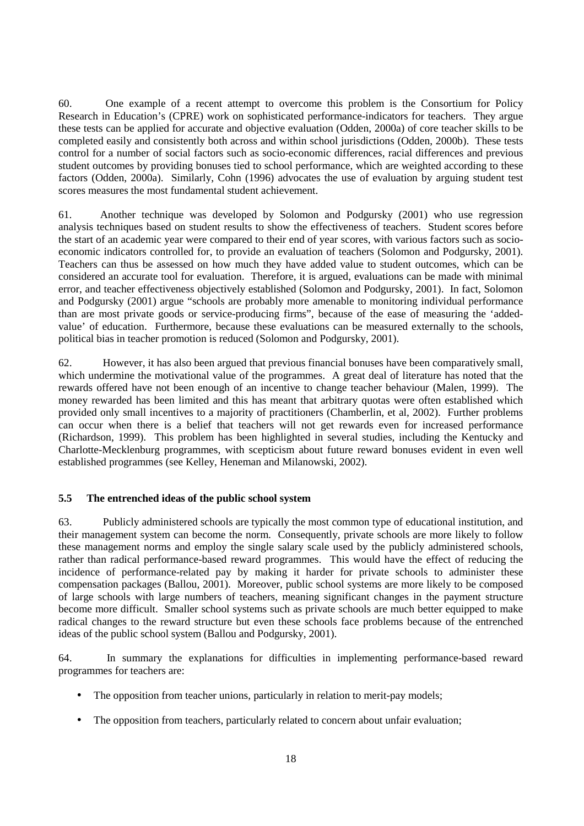60. One example of a recent attempt to overcome this problem is the Consortium for Policy Research in Education's (CPRE) work on sophisticated performance-indicators for teachers. They argue these tests can be applied for accurate and objective evaluation (Odden, 2000a) of core teacher skills to be completed easily and consistently both across and within school jurisdictions (Odden, 2000b). These tests control for a number of social factors such as socio-economic differences, racial differences and previous student outcomes by providing bonuses tied to school performance, which are weighted according to these factors (Odden, 2000a). Similarly, Cohn (1996) advocates the use of evaluation by arguing student test scores measures the most fundamental student achievement.

61. Another technique was developed by Solomon and Podgursky (2001) who use regression analysis techniques based on student results to show the effectiveness of teachers. Student scores before the start of an academic year were compared to their end of year scores, with various factors such as socioeconomic indicators controlled for, to provide an evaluation of teachers (Solomon and Podgursky, 2001). Teachers can thus be assessed on how much they have added value to student outcomes, which can be considered an accurate tool for evaluation. Therefore, it is argued, evaluations can be made with minimal error, and teacher effectiveness objectively established (Solomon and Podgursky, 2001). In fact, Solomon and Podgursky (2001) argue "schools are probably more amenable to monitoring individual performance than are most private goods or service-producing firms", because of the ease of measuring the 'addedvalue' of education. Furthermore, because these evaluations can be measured externally to the schools, political bias in teacher promotion is reduced (Solomon and Podgursky, 2001).

62. However, it has also been argued that previous financial bonuses have been comparatively small, which undermine the motivational value of the programmes. A great deal of literature has noted that the rewards offered have not been enough of an incentive to change teacher behaviour (Malen, 1999). The money rewarded has been limited and this has meant that arbitrary quotas were often established which provided only small incentives to a majority of practitioners (Chamberlin, et al, 2002). Further problems can occur when there is a belief that teachers will not get rewards even for increased performance (Richardson, 1999). This problem has been highlighted in several studies, including the Kentucky and Charlotte-Mecklenburg programmes, with scepticism about future reward bonuses evident in even well established programmes (see Kelley, Heneman and Milanowski, 2002).

# **5.5 The entrenched ideas of the public school system**

63. Publicly administered schools are typically the most common type of educational institution, and their management system can become the norm. Consequently, private schools are more likely to follow these management norms and employ the single salary scale used by the publicly administered schools, rather than radical performance-based reward programmes. This would have the effect of reducing the incidence of performance-related pay by making it harder for private schools to administer these compensation packages (Ballou, 2001). Moreover, public school systems are more likely to be composed of large schools with large numbers of teachers, meaning significant changes in the payment structure become more difficult. Smaller school systems such as private schools are much better equipped to make radical changes to the reward structure but even these schools face problems because of the entrenched ideas of the public school system (Ballou and Podgursky, 2001).

64. In summary the explanations for difficulties in implementing performance-based reward programmes for teachers are:

- The opposition from teacher unions, particularly in relation to merit-pay models;
- The opposition from teachers, particularly related to concern about unfair evaluation;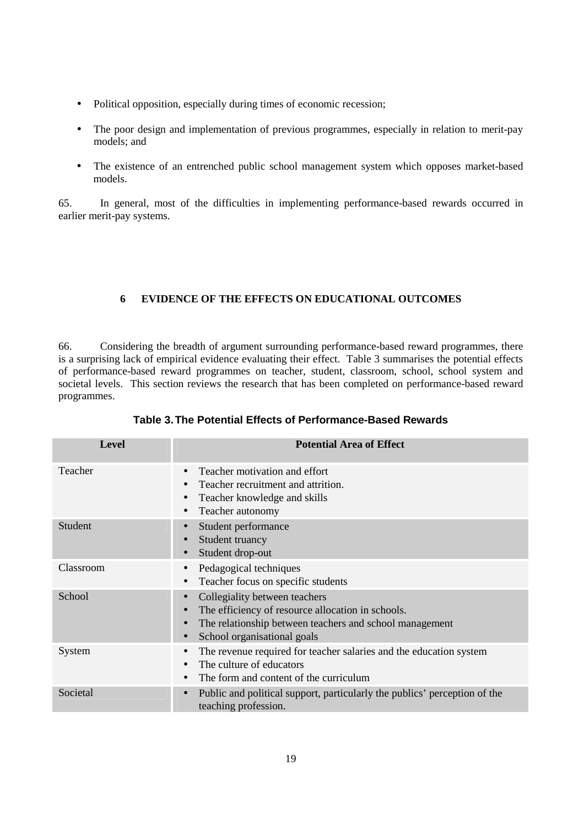- Political opposition, especially during times of economic recession;
- The poor design and implementation of previous programmes, especially in relation to merit-pay models; and
- The existence of an entrenched public school management system which opposes market-based models.

65. In general, most of the difficulties in implementing performance-based rewards occurred in earlier merit-pay systems.

# **6 EVIDENCE OF THE EFFECTS ON EDUCATIONAL OUTCOMES**

66. Considering the breadth of argument surrounding performance-based reward programmes, there is a surprising lack of empirical evidence evaluating their effect. Table 3 summarises the potential effects of performance-based reward programmes on teacher, student, classroom, school, school system and societal levels. This section reviews the research that has been completed on performance-based reward programmes.

| <b>Level</b>   | <b>Potential Area of Effect</b>                                                                                                                                                                                                  |
|----------------|----------------------------------------------------------------------------------------------------------------------------------------------------------------------------------------------------------------------------------|
| Teacher        | Teacher motivation and effort<br>$\bullet$<br>Teacher recruitment and attrition.<br>Teacher knowledge and skills<br>$\bullet$<br>Teacher autonomy<br>$\bullet$                                                                   |
| <b>Student</b> | Student performance<br>Student truancy<br>$\bullet$<br>Student drop-out                                                                                                                                                          |
| Classroom      | Pedagogical techniques<br>$\bullet$<br>Teacher focus on specific students<br>$\bullet$                                                                                                                                           |
| School         | Collegiality between teachers<br>$\bullet$<br>The efficiency of resource allocation in schools.<br>$\bullet$<br>The relationship between teachers and school management<br>$\bullet$<br>School organisational goals<br>$\bullet$ |
| System         | The revenue required for teacher salaries and the education system<br>$\bullet$<br>The culture of educators<br>$\bullet$<br>The form and content of the curriculum<br>$\bullet$                                                  |
| Societal       | Public and political support, particularly the publics' perception of the<br>$\bullet$<br>teaching profession.                                                                                                                   |

# **Table 3. The Potential Effects of Performance-Based Rewards**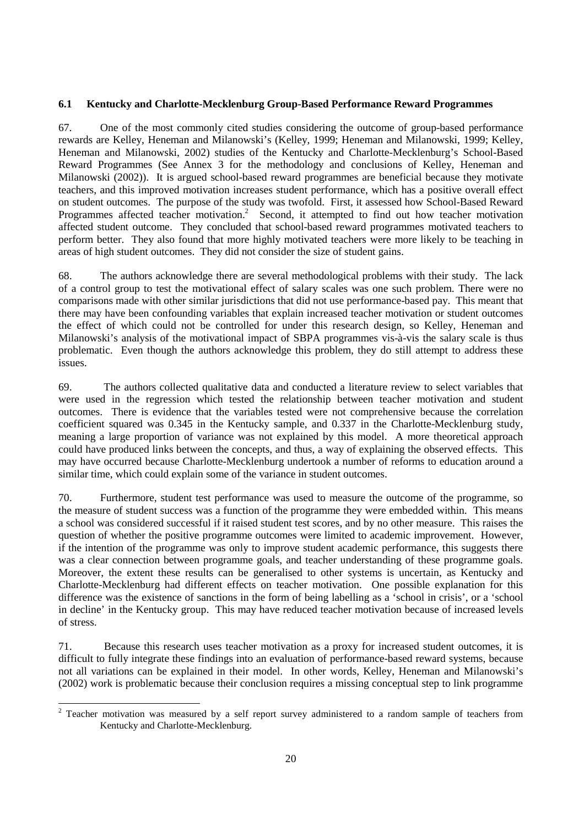# **6.1 Kentucky and Charlotte-Mecklenburg Group-Based Performance Reward Programmes**

67. One of the most commonly cited studies considering the outcome of group-based performance rewards are Kelley, Heneman and Milanowski's (Kelley, 1999; Heneman and Milanowski, 1999; Kelley, Heneman and Milanowski, 2002) studies of the Kentucky and Charlotte-Mecklenburg's School-Based Reward Programmes (See Annex 3 for the methodology and conclusions of Kelley, Heneman and Milanowski (2002)). It is argued school-based reward programmes are beneficial because they motivate teachers, and this improved motivation increases student performance, which has a positive overall effect on student outcomes. The purpose of the study was twofold. First, it assessed how School-Based Reward Programmes affected teacher motivation.<sup>2</sup> Second, it attempted to find out how teacher motivation affected student outcome. They concluded that school-based reward programmes motivated teachers to perform better. They also found that more highly motivated teachers were more likely to be teaching in areas of high student outcomes. They did not consider the size of student gains.

68. The authors acknowledge there are several methodological problems with their study. The lack of a control group to test the motivational effect of salary scales was one such problem. There were no comparisons made with other similar jurisdictions that did not use performance-based pay. This meant that there may have been confounding variables that explain increased teacher motivation or student outcomes the effect of which could not be controlled for under this research design, so Kelley, Heneman and Milanowski's analysis of the motivational impact of SBPA programmes vis-à-vis the salary scale is thus problematic. Even though the authors acknowledge this problem, they do still attempt to address these issues.

69. The authors collected qualitative data and conducted a literature review to select variables that were used in the regression which tested the relationship between teacher motivation and student outcomes. There is evidence that the variables tested were not comprehensive because the correlation coefficient squared was 0.345 in the Kentucky sample, and 0.337 in the Charlotte-Mecklenburg study, meaning a large proportion of variance was not explained by this model. A more theoretical approach could have produced links between the concepts, and thus, a way of explaining the observed effects. This may have occurred because Charlotte-Mecklenburg undertook a number of reforms to education around a similar time, which could explain some of the variance in student outcomes.

70. Furthermore, student test performance was used to measure the outcome of the programme, so the measure of student success was a function of the programme they were embedded within. This means a school was considered successful if it raised student test scores, and by no other measure. This raises the question of whether the positive programme outcomes were limited to academic improvement. However, if the intention of the programme was only to improve student academic performance, this suggests there was a clear connection between programme goals, and teacher understanding of these programme goals. Moreover, the extent these results can be generalised to other systems is uncertain, as Kentucky and Charlotte-Mecklenburg had different effects on teacher motivation. One possible explanation for this difference was the existence of sanctions in the form of being labelling as a 'school in crisis', or a 'school in decline' in the Kentucky group. This may have reduced teacher motivation because of increased levels of stress.

71. Because this research uses teacher motivation as a proxy for increased student outcomes, it is difficult to fully integrate these findings into an evaluation of performance-based reward systems, because not all variations can be explained in their model. In other words, Kelley, Heneman and Milanowski's (2002) work is problematic because their conclusion requires a missing conceptual step to link programme

<sup>&</sup>lt;sup>2</sup> Teacher motivation was measured by a self report survey administered to a random sample of teachers from Kentucky and Charlotte-Mecklenburg.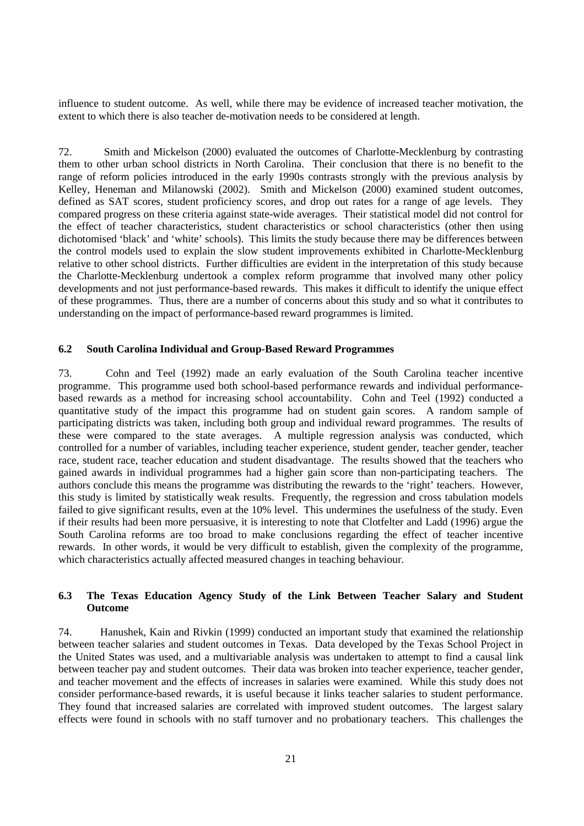influence to student outcome. As well, while there may be evidence of increased teacher motivation, the extent to which there is also teacher de-motivation needs to be considered at length.

72. Smith and Mickelson (2000) evaluated the outcomes of Charlotte-Mecklenburg by contrasting them to other urban school districts in North Carolina. Their conclusion that there is no benefit to the range of reform policies introduced in the early 1990s contrasts strongly with the previous analysis by Kelley, Heneman and Milanowski (2002). Smith and Mickelson (2000) examined student outcomes, defined as SAT scores, student proficiency scores, and drop out rates for a range of age levels. They compared progress on these criteria against state-wide averages. Their statistical model did not control for the effect of teacher characteristics, student characteristics or school characteristics (other then using dichotomised 'black' and 'white' schools). This limits the study because there may be differences between the control models used to explain the slow student improvements exhibited in Charlotte-Mecklenburg relative to other school districts. Further difficulties are evident in the interpretation of this study because the Charlotte-Mecklenburg undertook a complex reform programme that involved many other policy developments and not just performance-based rewards. This makes it difficult to identify the unique effect of these programmes. Thus, there are a number of concerns about this study and so what it contributes to understanding on the impact of performance-based reward programmes is limited.

#### **6.2 South Carolina Individual and Group-Based Reward Programmes**

73. Cohn and Teel (1992) made an early evaluation of the South Carolina teacher incentive programme. This programme used both school-based performance rewards and individual performancebased rewards as a method for increasing school accountability. Cohn and Teel (1992) conducted a quantitative study of the impact this programme had on student gain scores. A random sample of participating districts was taken, including both group and individual reward programmes. The results of these were compared to the state averages. A multiple regression analysis was conducted, which controlled for a number of variables, including teacher experience, student gender, teacher gender, teacher race, student race, teacher education and student disadvantage. The results showed that the teachers who gained awards in individual programmes had a higher gain score than non-participating teachers. The authors conclude this means the programme was distributing the rewards to the 'right' teachers. However, this study is limited by statistically weak results. Frequently, the regression and cross tabulation models failed to give significant results, even at the 10% level. This undermines the usefulness of the study. Even if their results had been more persuasive, it is interesting to note that Clotfelter and Ladd (1996) argue the South Carolina reforms are too broad to make conclusions regarding the effect of teacher incentive rewards. In other words, it would be very difficult to establish, given the complexity of the programme, which characteristics actually affected measured changes in teaching behaviour.

# **6.3 The Texas Education Agency Study of the Link Between Teacher Salary and Student Outcome**

74. Hanushek, Kain and Rivkin (1999) conducted an important study that examined the relationship between teacher salaries and student outcomes in Texas. Data developed by the Texas School Project in the United States was used, and a multivariable analysis was undertaken to attempt to find a causal link between teacher pay and student outcomes. Their data was broken into teacher experience, teacher gender, and teacher movement and the effects of increases in salaries were examined. While this study does not consider performance-based rewards, it is useful because it links teacher salaries to student performance. They found that increased salaries are correlated with improved student outcomes. The largest salary effects were found in schools with no staff turnover and no probationary teachers. This challenges the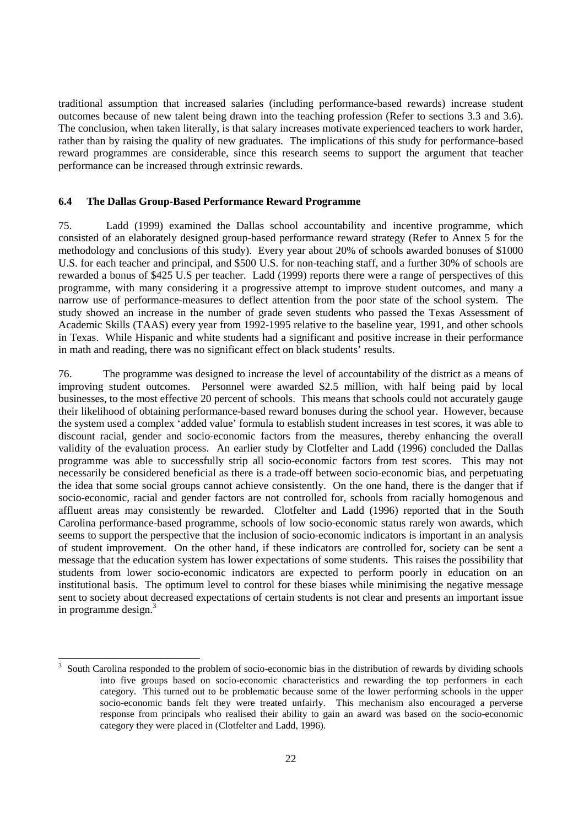traditional assumption that increased salaries (including performance-based rewards) increase student outcomes because of new talent being drawn into the teaching profession (Refer to sections 3.3 and 3.6). The conclusion, when taken literally, is that salary increases motivate experienced teachers to work harder, rather than by raising the quality of new graduates. The implications of this study for performance-based reward programmes are considerable, since this research seems to support the argument that teacher performance can be increased through extrinsic rewards.

#### **6.4 The Dallas Group-Based Performance Reward Programme**

75. Ladd (1999) examined the Dallas school accountability and incentive programme, which consisted of an elaborately designed group-based performance reward strategy (Refer to Annex 5 for the methodology and conclusions of this study). Every year about 20% of schools awarded bonuses of \$1000 U.S. for each teacher and principal, and \$500 U.S. for non-teaching staff, and a further 30% of schools are rewarded a bonus of \$425 U.S per teacher. Ladd (1999) reports there were a range of perspectives of this programme, with many considering it a progressive attempt to improve student outcomes, and many a narrow use of performance-measures to deflect attention from the poor state of the school system. The study showed an increase in the number of grade seven students who passed the Texas Assessment of Academic Skills (TAAS) every year from 1992-1995 relative to the baseline year, 1991, and other schools in Texas. While Hispanic and white students had a significant and positive increase in their performance in math and reading, there was no significant effect on black students' results.

76. The programme was designed to increase the level of accountability of the district as a means of improving student outcomes. Personnel were awarded \$2.5 million, with half being paid by local businesses, to the most effective 20 percent of schools. This means that schools could not accurately gauge their likelihood of obtaining performance-based reward bonuses during the school year. However, because the system used a complex 'added value' formula to establish student increases in test scores, it was able to discount racial, gender and socio-economic factors from the measures, thereby enhancing the overall validity of the evaluation process. An earlier study by Clotfelter and Ladd (1996) concluded the Dallas programme was able to successfully strip all socio-economic factors from test scores. This may not necessarily be considered beneficial as there is a trade-off between socio-economic bias, and perpetuating the idea that some social groups cannot achieve consistently. On the one hand, there is the danger that if socio-economic, racial and gender factors are not controlled for, schools from racially homogenous and affluent areas may consistently be rewarded. Clotfelter and Ladd (1996) reported that in the South Carolina performance-based programme, schools of low socio-economic status rarely won awards, which seems to support the perspective that the inclusion of socio-economic indicators is important in an analysis of student improvement. On the other hand, if these indicators are controlled for, society can be sent a message that the education system has lower expectations of some students. This raises the possibility that students from lower socio-economic indicators are expected to perform poorly in education on an institutional basis. The optimum level to control for these biases while minimising the negative message sent to society about decreased expectations of certain students is not clear and presents an important issue in programme design.<sup>3</sup>

 $\overline{a}$ 

<sup>3</sup> South Carolina responded to the problem of socio-economic bias in the distribution of rewards by dividing schools into five groups based on socio-economic characteristics and rewarding the top performers in each category. This turned out to be problematic because some of the lower performing schools in the upper socio-economic bands felt they were treated unfairly. This mechanism also encouraged a perverse response from principals who realised their ability to gain an award was based on the socio-economic category they were placed in (Clotfelter and Ladd, 1996).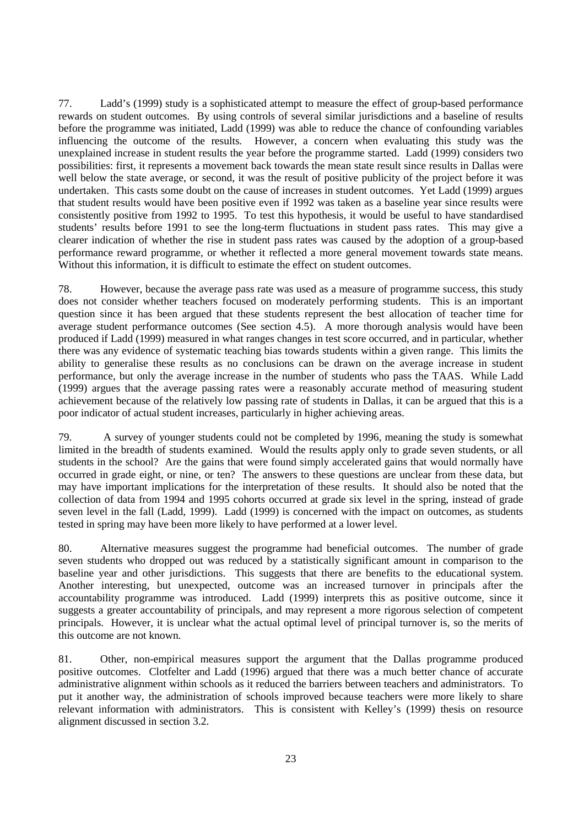77. Ladd's (1999) study is a sophisticated attempt to measure the effect of group-based performance rewards on student outcomes. By using controls of several similar jurisdictions and a baseline of results before the programme was initiated, Ladd (1999) was able to reduce the chance of confounding variables influencing the outcome of the results. However, a concern when evaluating this study was the unexplained increase in student results the year before the programme started. Ladd (1999) considers two possibilities: first, it represents a movement back towards the mean state result since results in Dallas were well below the state average, or second, it was the result of positive publicity of the project before it was undertaken. This casts some doubt on the cause of increases in student outcomes. Yet Ladd (1999) argues that student results would have been positive even if 1992 was taken as a baseline year since results were consistently positive from 1992 to 1995. To test this hypothesis, it would be useful to have standardised students' results before 1991 to see the long-term fluctuations in student pass rates. This may give a clearer indication of whether the rise in student pass rates was caused by the adoption of a group-based performance reward programme, or whether it reflected a more general movement towards state means. Without this information, it is difficult to estimate the effect on student outcomes.

78. However, because the average pass rate was used as a measure of programme success, this study does not consider whether teachers focused on moderately performing students. This is an important question since it has been argued that these students represent the best allocation of teacher time for average student performance outcomes (See section 4.5). A more thorough analysis would have been produced if Ladd (1999) measured in what ranges changes in test score occurred, and in particular, whether there was any evidence of systematic teaching bias towards students within a given range. This limits the ability to generalise these results as no conclusions can be drawn on the average increase in student performance, but only the average increase in the number of students who pass the TAAS. While Ladd (1999) argues that the average passing rates were a reasonably accurate method of measuring student achievement because of the relatively low passing rate of students in Dallas, it can be argued that this is a poor indicator of actual student increases, particularly in higher achieving areas.

79. A survey of younger students could not be completed by 1996, meaning the study is somewhat limited in the breadth of students examined. Would the results apply only to grade seven students, or all students in the school? Are the gains that were found simply accelerated gains that would normally have occurred in grade eight, or nine, or ten? The answers to these questions are unclear from these data, but may have important implications for the interpretation of these results. It should also be noted that the collection of data from 1994 and 1995 cohorts occurred at grade six level in the spring, instead of grade seven level in the fall (Ladd, 1999). Ladd (1999) is concerned with the impact on outcomes, as students tested in spring may have been more likely to have performed at a lower level.

80. Alternative measures suggest the programme had beneficial outcomes. The number of grade seven students who dropped out was reduced by a statistically significant amount in comparison to the baseline year and other jurisdictions. This suggests that there are benefits to the educational system. Another interesting, but unexpected, outcome was an increased turnover in principals after the accountability programme was introduced. Ladd (1999) interprets this as positive outcome, since it suggests a greater accountability of principals, and may represent a more rigorous selection of competent principals. However, it is unclear what the actual optimal level of principal turnover is, so the merits of this outcome are not known.

81. Other, non-empirical measures support the argument that the Dallas programme produced positive outcomes. Clotfelter and Ladd (1996) argued that there was a much better chance of accurate administrative alignment within schools as it reduced the barriers between teachers and administrators. To put it another way, the administration of schools improved because teachers were more likely to share relevant information with administrators. This is consistent with Kelley's (1999) thesis on resource alignment discussed in section 3.2.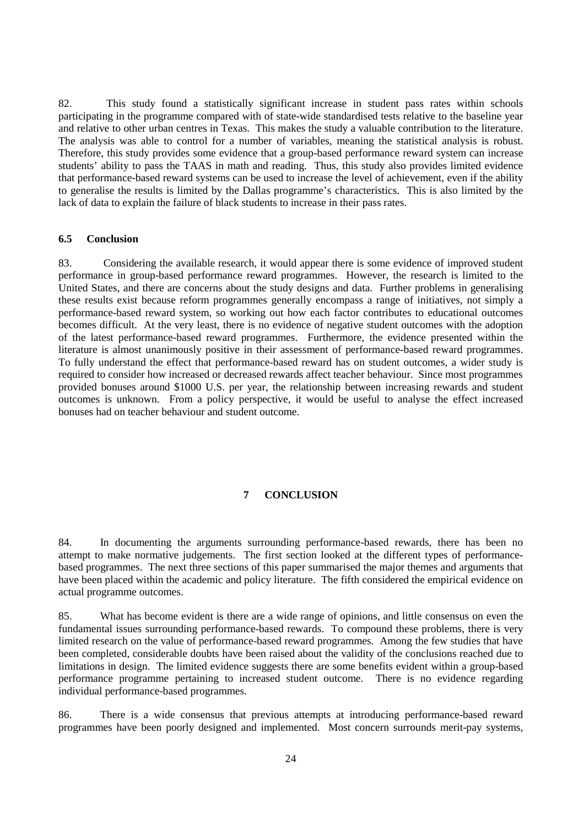82. This study found a statistically significant increase in student pass rates within schools participating in the programme compared with of state-wide standardised tests relative to the baseline year and relative to other urban centres in Texas. This makes the study a valuable contribution to the literature. The analysis was able to control for a number of variables, meaning the statistical analysis is robust. Therefore, this study provides some evidence that a group-based performance reward system can increase students' ability to pass the TAAS in math and reading. Thus, this study also provides limited evidence that performance-based reward systems can be used to increase the level of achievement, even if the ability to generalise the results is limited by the Dallas programme's characteristics. This is also limited by the lack of data to explain the failure of black students to increase in their pass rates.

#### **6.5 Conclusion**

83. Considering the available research, it would appear there is some evidence of improved student performance in group-based performance reward programmes. However, the research is limited to the United States, and there are concerns about the study designs and data. Further problems in generalising these results exist because reform programmes generally encompass a range of initiatives, not simply a performance-based reward system, so working out how each factor contributes to educational outcomes becomes difficult. At the very least, there is no evidence of negative student outcomes with the adoption of the latest performance-based reward programmes. Furthermore, the evidence presented within the literature is almost unanimously positive in their assessment of performance-based reward programmes. To fully understand the effect that performance-based reward has on student outcomes, a wider study is required to consider how increased or decreased rewards affect teacher behaviour. Since most programmes provided bonuses around \$1000 U.S. per year, the relationship between increasing rewards and student outcomes is unknown. From a policy perspective, it would be useful to analyse the effect increased bonuses had on teacher behaviour and student outcome.

# **7 CONCLUSION**

84. In documenting the arguments surrounding performance-based rewards, there has been no attempt to make normative judgements. The first section looked at the different types of performancebased programmes. The next three sections of this paper summarised the major themes and arguments that have been placed within the academic and policy literature. The fifth considered the empirical evidence on actual programme outcomes.

85. What has become evident is there are a wide range of opinions, and little consensus on even the fundamental issues surrounding performance-based rewards. To compound these problems, there is very limited research on the value of performance-based reward programmes. Among the few studies that have been completed, considerable doubts have been raised about the validity of the conclusions reached due to limitations in design. The limited evidence suggests there are some benefits evident within a group-based performance programme pertaining to increased student outcome. There is no evidence regarding individual performance-based programmes.

86. There is a wide consensus that previous attempts at introducing performance-based reward programmes have been poorly designed and implemented. Most concern surrounds merit-pay systems,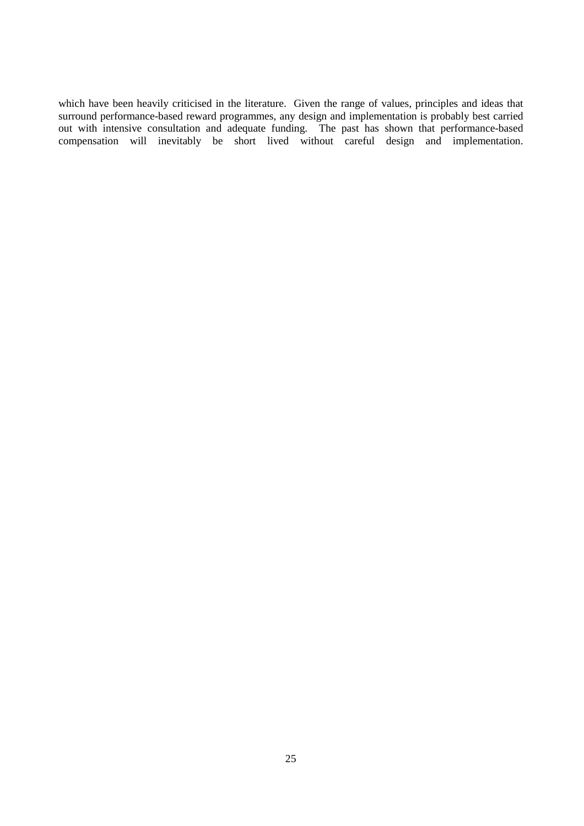which have been heavily criticised in the literature. Given the range of values, principles and ideas that surround performance-based reward programmes, any design and implementation is probably best carried out with intensive consultation and adequate funding. The past has shown that performance-based compensation will inevitably be short lived without careful design and implementation.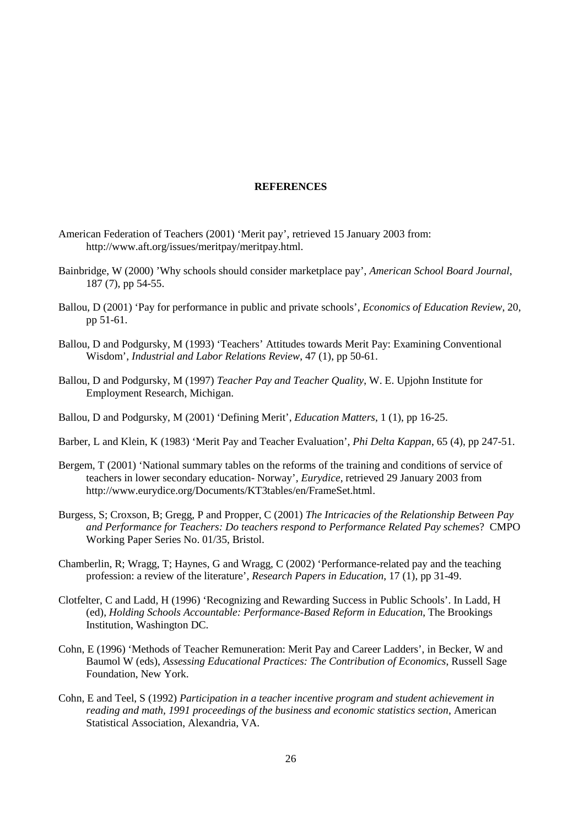#### **REFERENCES**

- American Federation of Teachers (2001) 'Merit pay', retrieved 15 January 2003 from: http://www.aft.org/issues/meritpay/meritpay.html.
- Bainbridge, W (2000) 'Why schools should consider marketplace pay', *American School Board Journal*, 187 (7), pp 54-55.
- Ballou, D (2001) 'Pay for performance in public and private schools', *Economics of Education Review*, 20, pp 51-61.
- Ballou, D and Podgursky, M (1993) 'Teachers' Attitudes towards Merit Pay: Examining Conventional Wisdom', *Industrial and Labor Relations Review*, 47 (1), pp 50-61.
- Ballou, D and Podgursky, M (1997) *Teacher Pay and Teacher Quality*, W. E. Upjohn Institute for Employment Research, Michigan.
- Ballou, D and Podgursky, M (2001) 'Defining Merit', *Education Matters*, 1 (1), pp 16-25.
- Barber, L and Klein, K (1983) 'Merit Pay and Teacher Evaluation', *Phi Delta Kappan*, 65 (4), pp 247-51.
- Bergem, T (2001) 'National summary tables on the reforms of the training and conditions of service of teachers in lower secondary education- Norway'*, Eurydice,* retrieved 29 January 2003 from http://www.eurydice.org/Documents/KT3tables/en/FrameSet.html.
- Burgess, S; Croxson, B; Gregg, P and Propper, C (2001) *The Intricacies of the Relationship Between Pay and Performance for Teachers: Do teachers respond to Performance Related Pay schemes*? CMPO Working Paper Series No. 01/35, Bristol.
- Chamberlin, R; Wragg, T; Haynes, G and Wragg, C (2002) 'Performance-related pay and the teaching profession: a review of the literature', *Research Papers in Education*, 17 (1), pp 31-49.
- Clotfelter, C and Ladd, H (1996) 'Recognizing and Rewarding Success in Public Schools'. In Ladd, H (ed), *Holding Schools Accountable: Performance-Based Reform in Education*, The Brookings Institution, Washington DC.
- Cohn, E (1996) 'Methods of Teacher Remuneration: Merit Pay and Career Ladders', in Becker, W and Baumol W (eds), *Assessing Educational Practices: The Contribution of Economics*, Russell Sage Foundation, New York.
- Cohn, E and Teel, S (1992) *Participation in a teacher incentive program and student achievement in reading and math, 1991 proceedings of the business and economic statistics section*, American Statistical Association, Alexandria, VA.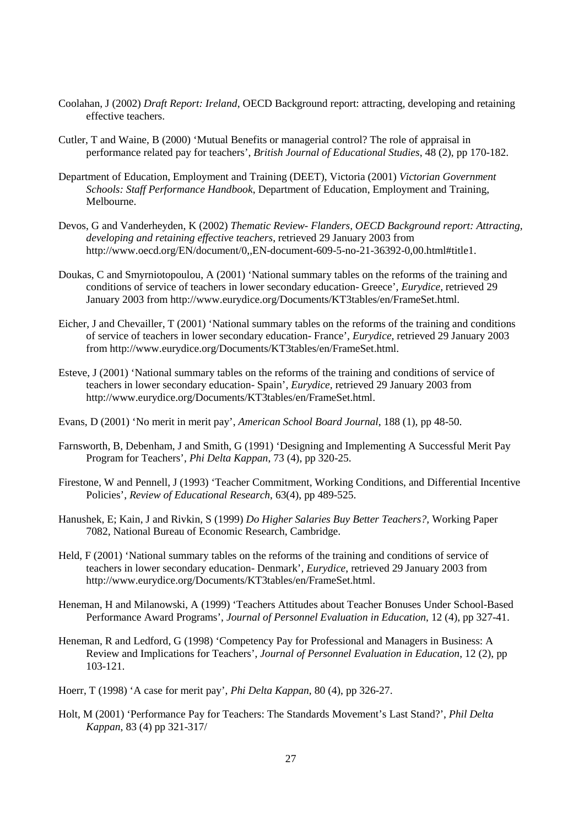- Coolahan, J (2002) *Draft Report: Ireland*, OECD Background report: attracting, developing and retaining effective teachers.
- Cutler, T and Waine, B (2000) 'Mutual Benefits or managerial control? The role of appraisal in performance related pay for teachers', *British Journal of Educational Studies*, 48 (2), pp 170-182.
- Department of Education, Employment and Training (DEET), Victoria (2001) *Victorian Government Schools: Staff Performance Handbook*, Department of Education, Employment and Training, Melbourne.
- Devos, G and Vanderheyden, K (2002) *Thematic Review- Flanders, OECD Background report: Attracting, developing and retaining effective teachers*, retrieved 29 January 2003 from http://www.oecd.org/EN/document/0,,EN-document-609-5-no-21-36392-0,00.html#title1.
- Doukas, C and Smyrniotopoulou, A (2001) 'National summary tables on the reforms of the training and conditions of service of teachers in lower secondary education- Greece'*, Eurydice,* retrieved 29 January 2003 from http://www.eurydice.org/Documents/KT3tables/en/FrameSet.html.
- Eicher, J and Chevailler, T (2001) 'National summary tables on the reforms of the training and conditions of service of teachers in lower secondary education- France'*, Eurydice,* retrieved 29 January 2003 from http://www.eurydice.org/Documents/KT3tables/en/FrameSet.html.
- Esteve, J (2001) 'National summary tables on the reforms of the training and conditions of service of teachers in lower secondary education- Spain'*, Eurydice,* retrieved 29 January 2003 from http://www.eurydice.org/Documents/KT3tables/en/FrameSet.html.
- Evans, D (2001) 'No merit in merit pay', *American School Board Journal*, 188 (1), pp 48-50.
- Farnsworth, B, Debenham, J and Smith, G (1991) 'Designing and Implementing A Successful Merit Pay Program for Teachers', *Phi Delta Kappan*, 73 (4), pp 320-25.
- Firestone, W and Pennell, J (1993) 'Teacher Commitment, Working Conditions, and Differential Incentive Policies', *Review of Educational Research*, 63(4), pp 489-525.
- Hanushek, E; Kain, J and Rivkin, S (1999) *Do Higher Salaries Buy Better Teachers?,* Working Paper 7082, National Bureau of Economic Research, Cambridge.
- Held, F (2001) 'National summary tables on the reforms of the training and conditions of service of teachers in lower secondary education- Denmark'*, Eurydice*, retrieved 29 January 2003 from http://www.eurydice.org/Documents/KT3tables/en/FrameSet.html.
- Heneman, H and Milanowski, A (1999) 'Teachers Attitudes about Teacher Bonuses Under School-Based Performance Award Programs', *Journal of Personnel Evaluation in Education*, 12 (4), pp 327-41.
- Heneman, R and Ledford, G (1998) 'Competency Pay for Professional and Managers in Business: A Review and Implications for Teachers', *Journal of Personnel Evaluation in Education*, 12 (2), pp 103-121.
- Hoerr, T (1998) 'A case for merit pay', *Phi Delta Kappan*, 80 (4), pp 326-27.
- Holt, M (2001) 'Performance Pay for Teachers: The Standards Movement's Last Stand?', *Phil Delta Kappan*, 83 (4) pp 321-317/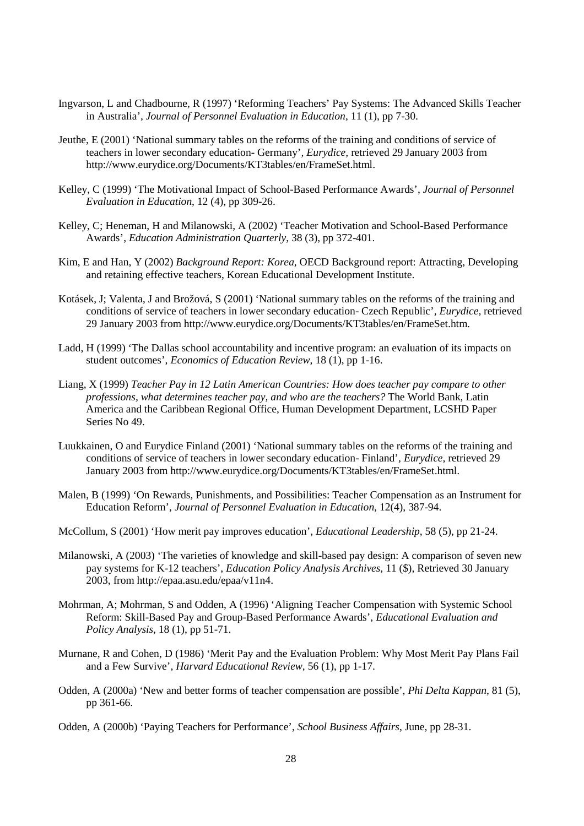- Ingvarson, L and Chadbourne, R (1997) 'Reforming Teachers' Pay Systems: The Advanced Skills Teacher in Australia', *Journal of Personnel Evaluation in Education*, 11 (1), pp 7-30.
- Jeuthe, E (2001) 'National summary tables on the reforms of the training and conditions of service of teachers in lower secondary education- Germany'*, Eurydice,* retrieved 29 January 2003 from http://www.eurydice.org/Documents/KT3tables/en/FrameSet.html.
- Kelley, C (1999) 'The Motivational Impact of School-Based Performance Awards', *Journal of Personnel Evaluation in Education*, 12 (4), pp 309-26.
- Kelley, C; Heneman, H and Milanowski, A (2002) 'Teacher Motivation and School-Based Performance Awards', *Education Administration Quarterly*, 38 (3), pp 372-401.
- Kim, E and Han, Y (2002) *Background Report: Korea,* OECD Background report: Attracting, Developing and retaining effective teachers, Korean Educational Development Institute.
- Kotásek, J; Valenta, J and Brožová, S (2001) 'National summary tables on the reforms of the training and conditions of service of teachers in lower secondary education- Czech Republic'*, Eurydice,* retrieved 29 January 2003 from http://www.eurydice.org/Documents/KT3tables/en/FrameSet.htm.
- Ladd, H (1999) 'The Dallas school accountability and incentive program: an evaluation of its impacts on student outcomes', *Economics of Education Review*, 18 (1), pp 1-16.
- Liang, X (1999) *Teacher Pay in 12 Latin American Countries: How does teacher pay compare to other professions, what determines teacher pay, and who are the teachers?* The World Bank, Latin America and the Caribbean Regional Office, Human Development Department, LCSHD Paper Series No 49.
- Luukkainen, O and Eurydice Finland (2001) 'National summary tables on the reforms of the training and conditions of service of teachers in lower secondary education- Finland'*, Eurydice,* retrieved 29 January 2003 from http://www.eurydice.org/Documents/KT3tables/en/FrameSet.html.
- Malen, B (1999) 'On Rewards, Punishments, and Possibilities: Teacher Compensation as an Instrument for Education Reform', *Journal of Personnel Evaluation in Education*, 12(4), 387-94.
- McCollum, S (2001) 'How merit pay improves education', *Educational Leadership*, 58 (5), pp 21-24.
- Milanowski, A (2003) 'The varieties of knowledge and skill-based pay design: A comparison of seven new pay systems for K-12 teachers', *Education Policy Analysis Archives,* 11 (\$), Retrieved 30 January 2003, from http://epaa.asu.edu/epaa/v11n4.
- Mohrman, A; Mohrman, S and Odden, A (1996) 'Aligning Teacher Compensation with Systemic School Reform: Skill-Based Pay and Group-Based Performance Awards', *Educational Evaluation and Policy Analysis*, 18 (1), pp 51-71.
- Murnane, R and Cohen, D (1986) 'Merit Pay and the Evaluation Problem: Why Most Merit Pay Plans Fail and a Few Survive', *Harvard Educational Review*, 56 (1), pp 1-17.
- Odden, A (2000a) 'New and better forms of teacher compensation are possible', *Phi Delta Kappan*, 81 (5), pp 361-66.
- Odden, A (2000b) 'Paying Teachers for Performance', *School Business Affairs*, June, pp 28-31.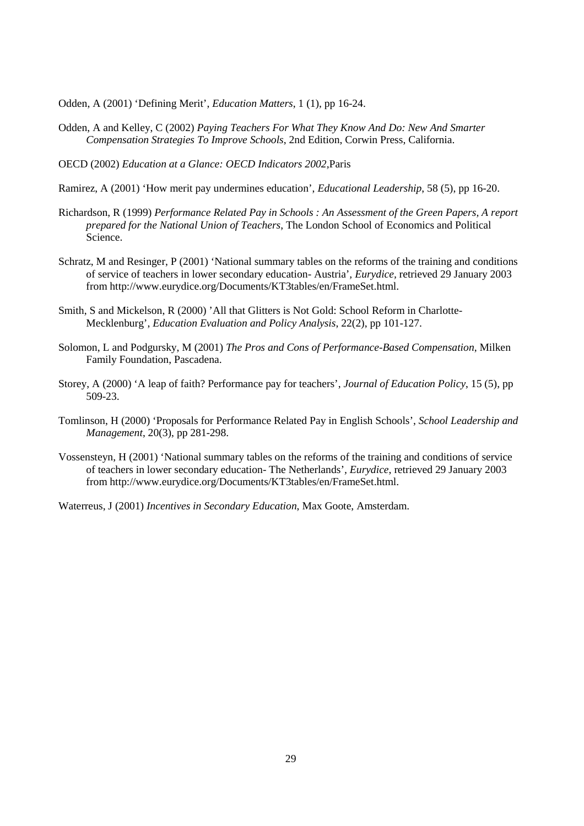Odden, A (2001) 'Defining Merit', *Education Matters*, 1 (1), pp 16-24.

- Odden, A and Kelley, C (2002) *Paying Teachers For What They Know And Do: New And Smarter Compensation Strategies To Improve Schools*, 2nd Edition, Corwin Press, California.
- OECD (2002) *Education at a Glance: OECD Indicators 2002,*Paris
- Ramirez, A (2001) 'How merit pay undermines education', *Educational Leadership*, 58 (5), pp 16-20.
- Richardson, R (1999) *Performance Related Pay in Schools : An Assessment of the Green Papers, A report prepared for the National Union of Teachers*, The London School of Economics and Political Science.
- Schratz, M and Resinger, P (2001) 'National summary tables on the reforms of the training and conditions of service of teachers in lower secondary education- Austria'*, Eurydice,* retrieved 29 January 2003 from http://www.eurydice.org/Documents/KT3tables/en/FrameSet.html.
- Smith, S and Mickelson, R (2000) 'All that Glitters is Not Gold: School Reform in Charlotte-Mecklenburg', *Education Evaluation and Policy Analysis*, 22(2), pp 101-127.
- Solomon, L and Podgursky, M (2001) *The Pros and Cons of Performance-Based Compensation*, Milken Family Foundation, Pascadena.
- Storey, A (2000) 'A leap of faith? Performance pay for teachers', *Journal of Education Policy*, 15 (5), pp 509-23.
- Tomlinson, H (2000) 'Proposals for Performance Related Pay in English Schools', *School Leadership and Management*, 20(3), pp 281-298.
- Vossensteyn, H (2001) 'National summary tables on the reforms of the training and conditions of service of teachers in lower secondary education- The Netherlands'*, Eurydice*, retrieved 29 January 2003 from http://www.eurydice.org/Documents/KT3tables/en/FrameSet.html.

Waterreus, J (2001) *Incentives in Secondary Education*, Max Goote, Amsterdam.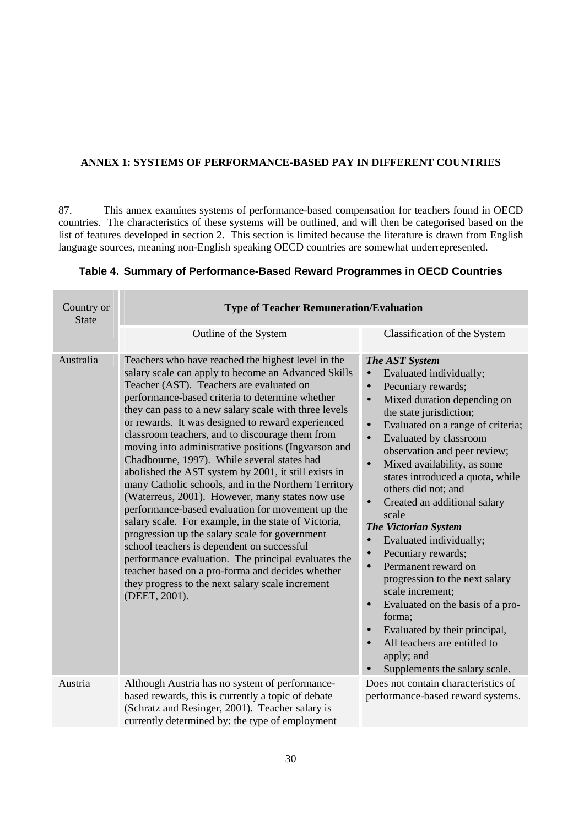# **ANNEX 1: SYSTEMS OF PERFORMANCE-BASED PAY IN DIFFERENT COUNTRIES**

87. This annex examines systems of performance-based compensation for teachers found in OECD countries. The characteristics of these systems will be outlined, and will then be categorised based on the list of features developed in section 2. This section is limited because the literature is drawn from English language sources, meaning non-English speaking OECD countries are somewhat underrepresented.

| Country or<br><b>State</b> | <b>Type of Teacher Remuneration/Evaluation</b>                                                                                                                                                                                                                                                                                                                                                                                                                                                                                                                                                                                                                                                                                                                                                                                                                                                                                                                                                                                                 |                                                                                                                                                                                                                                                                                                                                                                                                                                                                                                                                                                                                                                                                                                                                                                                                                                                                                     |  |  |
|----------------------------|------------------------------------------------------------------------------------------------------------------------------------------------------------------------------------------------------------------------------------------------------------------------------------------------------------------------------------------------------------------------------------------------------------------------------------------------------------------------------------------------------------------------------------------------------------------------------------------------------------------------------------------------------------------------------------------------------------------------------------------------------------------------------------------------------------------------------------------------------------------------------------------------------------------------------------------------------------------------------------------------------------------------------------------------|-------------------------------------------------------------------------------------------------------------------------------------------------------------------------------------------------------------------------------------------------------------------------------------------------------------------------------------------------------------------------------------------------------------------------------------------------------------------------------------------------------------------------------------------------------------------------------------------------------------------------------------------------------------------------------------------------------------------------------------------------------------------------------------------------------------------------------------------------------------------------------------|--|--|
|                            | Outline of the System                                                                                                                                                                                                                                                                                                                                                                                                                                                                                                                                                                                                                                                                                                                                                                                                                                                                                                                                                                                                                          | Classification of the System                                                                                                                                                                                                                                                                                                                                                                                                                                                                                                                                                                                                                                                                                                                                                                                                                                                        |  |  |
| Australia                  | Teachers who have reached the highest level in the<br>salary scale can apply to become an Advanced Skills<br>Teacher (AST). Teachers are evaluated on<br>performance-based criteria to determine whether<br>they can pass to a new salary scale with three levels<br>or rewards. It was designed to reward experienced<br>classroom teachers, and to discourage them from<br>moving into administrative positions (Ingvarson and<br>Chadbourne, 1997). While several states had<br>abolished the AST system by 2001, it still exists in<br>many Catholic schools, and in the Northern Territory<br>(Waterreus, 2001). However, many states now use<br>performance-based evaluation for movement up the<br>salary scale. For example, in the state of Victoria,<br>progression up the salary scale for government<br>school teachers is dependent on successful<br>performance evaluation. The principal evaluates the<br>teacher based on a pro-forma and decides whether<br>they progress to the next salary scale increment<br>(DEET, 2001). | <b>The AST System</b><br>Evaluated individually;<br>$\bullet$<br>Pecuniary rewards;<br>$\bullet$<br>Mixed duration depending on<br>$\bullet$<br>the state jurisdiction;<br>Evaluated on a range of criteria;<br>$\bullet$<br>Evaluated by classroom<br>$\bullet$<br>observation and peer review;<br>Mixed availability, as some<br>$\bullet$<br>states introduced a quota, while<br>others did not; and<br>Created an additional salary<br>$\bullet$<br>scale<br><b>The Victorian System</b><br>Evaluated individually;<br>$\bullet$<br>Pecuniary rewards;<br>$\bullet$<br>Permanent reward on<br>$\bullet$<br>progression to the next salary<br>scale increment;<br>Evaluated on the basis of a pro-<br>$\bullet$<br>forma;<br>Evaluated by their principal,<br>$\bullet$<br>All teachers are entitled to<br>$\bullet$<br>apply; and<br>Supplements the salary scale.<br>$\bullet$ |  |  |
| Austria                    | Although Austria has no system of performance-<br>based rewards, this is currently a topic of debate<br>(Schratz and Resinger, 2001). Teacher salary is<br>currently determined by: the type of employment                                                                                                                                                                                                                                                                                                                                                                                                                                                                                                                                                                                                                                                                                                                                                                                                                                     | Does not contain characteristics of<br>performance-based reward systems.                                                                                                                                                                                                                                                                                                                                                                                                                                                                                                                                                                                                                                                                                                                                                                                                            |  |  |

# **Table 4. Summary of Performance-Based Reward Programmes in OECD Countries**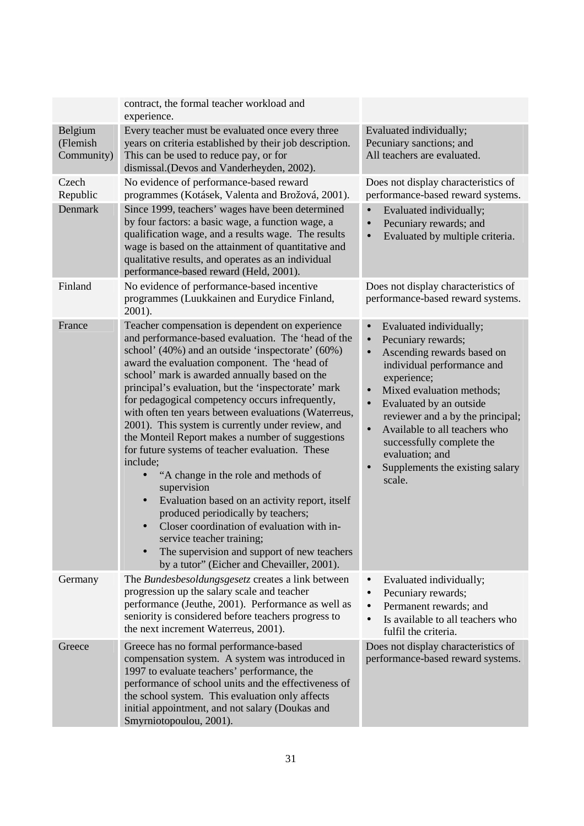|                                   | contract, the formal teacher workload and<br>experience.                                                                                                                                                                                                                                                                                                                                                                                                                                                                                                                                                                                                                                                                                                                                                                                                                                                                                               |                                                                                                                                                                                                                                                                                                                                                                                                                                               |
|-----------------------------------|--------------------------------------------------------------------------------------------------------------------------------------------------------------------------------------------------------------------------------------------------------------------------------------------------------------------------------------------------------------------------------------------------------------------------------------------------------------------------------------------------------------------------------------------------------------------------------------------------------------------------------------------------------------------------------------------------------------------------------------------------------------------------------------------------------------------------------------------------------------------------------------------------------------------------------------------------------|-----------------------------------------------------------------------------------------------------------------------------------------------------------------------------------------------------------------------------------------------------------------------------------------------------------------------------------------------------------------------------------------------------------------------------------------------|
| Belgium<br>(Flemish<br>Community) | Every teacher must be evaluated once every three<br>years on criteria established by their job description.<br>This can be used to reduce pay, or for<br>dismissal.(Devos and Vanderheyden, 2002).                                                                                                                                                                                                                                                                                                                                                                                                                                                                                                                                                                                                                                                                                                                                                     | Evaluated individually;<br>Pecuniary sanctions; and<br>All teachers are evaluated.                                                                                                                                                                                                                                                                                                                                                            |
| Czech<br>Republic                 | No evidence of performance-based reward<br>programmes (Kotásek, Valenta and Brožová, 2001).                                                                                                                                                                                                                                                                                                                                                                                                                                                                                                                                                                                                                                                                                                                                                                                                                                                            | Does not display characteristics of<br>performance-based reward systems.                                                                                                                                                                                                                                                                                                                                                                      |
| Denmark                           | Since 1999, teachers' wages have been determined<br>by four factors: a basic wage, a function wage, a<br>qualification wage, and a results wage. The results<br>wage is based on the attainment of quantitative and<br>qualitative results, and operates as an individual<br>performance-based reward (Held, 2001).                                                                                                                                                                                                                                                                                                                                                                                                                                                                                                                                                                                                                                    | Evaluated individually;<br>Pecuniary rewards; and<br>$\bullet$<br>Evaluated by multiple criteria.<br>$\bullet$                                                                                                                                                                                                                                                                                                                                |
| Finland                           | No evidence of performance-based incentive<br>programmes (Luukkainen and Eurydice Finland,<br>2001).                                                                                                                                                                                                                                                                                                                                                                                                                                                                                                                                                                                                                                                                                                                                                                                                                                                   | Does not display characteristics of<br>performance-based reward systems.                                                                                                                                                                                                                                                                                                                                                                      |
| France                            | Teacher compensation is dependent on experience<br>and performance-based evaluation. The 'head of the<br>school' (40%) and an outside 'inspectorate' (60%)<br>award the evaluation component. The 'head of<br>school' mark is awarded annually based on the<br>principal's evaluation, but the 'inspectorate' mark<br>for pedagogical competency occurs infrequently,<br>with often ten years between evaluations (Waterreus,<br>2001). This system is currently under review, and<br>the Monteil Report makes a number of suggestions<br>for future systems of teacher evaluation. These<br>include;<br>"A change in the role and methods of<br>supervision<br>Evaluation based on an activity report, itself<br>$\bullet$<br>produced periodically by teachers;<br>Closer coordination of evaluation with in-<br>$\bullet$<br>service teacher training;<br>The supervision and support of new teachers<br>by a tutor" (Eicher and Chevailler, 2001). | Evaluated individually;<br>$\bullet$<br>Pecuniary rewards;<br>$\bullet$<br>Ascending rewards based on<br>$\bullet$<br>individual performance and<br>experience;<br>Mixed evaluation methods;<br>$\bullet$<br>Evaluated by an outside<br>$\bullet$<br>reviewer and a by the principal;<br>Available to all teachers who<br>$\bullet$<br>successfully complete the<br>evaluation; and<br>Supplements the existing salary<br>$\bullet$<br>scale. |
| Germany                           | The <i>Bundesbesoldungsgesetz</i> creates a link between<br>progression up the salary scale and teacher<br>performance (Jeuthe, 2001). Performance as well as<br>seniority is considered before teachers progress to<br>the next increment Waterreus, 2001).                                                                                                                                                                                                                                                                                                                                                                                                                                                                                                                                                                                                                                                                                           | Evaluated individually;<br>Pecuniary rewards;<br>$\bullet$<br>Permanent rewards; and<br>$\bullet$<br>Is available to all teachers who<br>fulfil the criteria.                                                                                                                                                                                                                                                                                 |
| Greece                            | Greece has no formal performance-based<br>compensation system. A system was introduced in<br>1997 to evaluate teachers' performance, the<br>performance of school units and the effectiveness of<br>the school system. This evaluation only affects<br>initial appointment, and not salary (Doukas and<br>Smyrniotopoulou, 2001).                                                                                                                                                                                                                                                                                                                                                                                                                                                                                                                                                                                                                      | Does not display characteristics of<br>performance-based reward systems.                                                                                                                                                                                                                                                                                                                                                                      |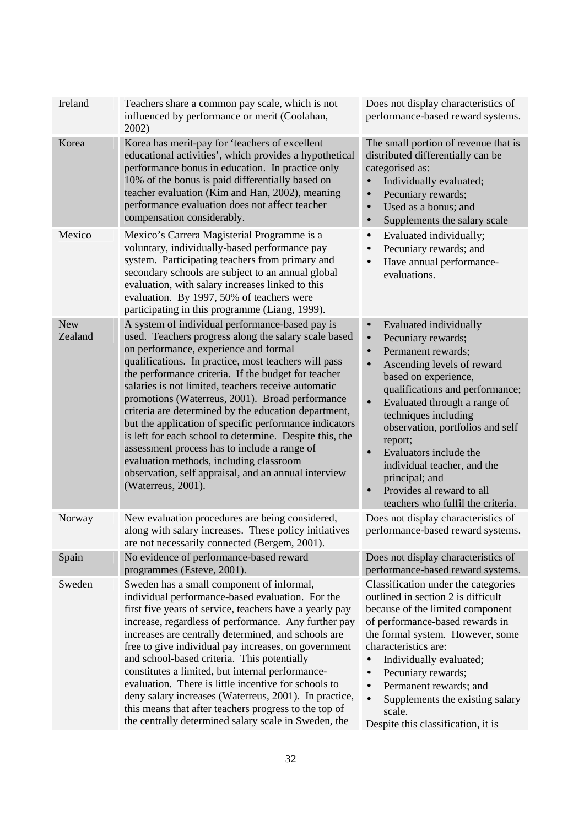| Ireland               | Teachers share a common pay scale, which is not<br>influenced by performance or merit (Coolahan,<br>2002)                                                                                                                                                                                                                                                                                                                                                                                                                                                                                                                                                                                                                       | Does not display characteristics of<br>performance-based reward systems.                                                                                                                                                                                                                                                                                                                                                                                                                      |  |
|-----------------------|---------------------------------------------------------------------------------------------------------------------------------------------------------------------------------------------------------------------------------------------------------------------------------------------------------------------------------------------------------------------------------------------------------------------------------------------------------------------------------------------------------------------------------------------------------------------------------------------------------------------------------------------------------------------------------------------------------------------------------|-----------------------------------------------------------------------------------------------------------------------------------------------------------------------------------------------------------------------------------------------------------------------------------------------------------------------------------------------------------------------------------------------------------------------------------------------------------------------------------------------|--|
| Korea                 | Korea has merit-pay for 'teachers of excellent<br>educational activities', which provides a hypothetical<br>performance bonus in education. In practice only<br>10% of the bonus is paid differentially based on<br>teacher evaluation (Kim and Han, 2002), meaning<br>performance evaluation does not affect teacher<br>compensation considerably.                                                                                                                                                                                                                                                                                                                                                                             | The small portion of revenue that is<br>distributed differentially can be<br>categorised as:<br>Individually evaluated;<br>$\bullet$<br>Pecuniary rewards;<br>$\bullet$<br>Used as a bonus; and<br>$\bullet$<br>Supplements the salary scale<br>$\bullet$                                                                                                                                                                                                                                     |  |
| Mexico                | Mexico's Carrera Magisterial Programme is a<br>voluntary, individually-based performance pay<br>system. Participating teachers from primary and<br>secondary schools are subject to an annual global<br>evaluation, with salary increases linked to this<br>evaluation. By 1997, 50% of teachers were<br>participating in this programme (Liang, 1999).                                                                                                                                                                                                                                                                                                                                                                         | Evaluated individually;<br>$\bullet$<br>Pecuniary rewards; and<br>Have annual performance-<br>evaluations.                                                                                                                                                                                                                                                                                                                                                                                    |  |
| <b>New</b><br>Zealand | A system of individual performance-based pay is<br>used. Teachers progress along the salary scale based<br>on performance, experience and formal<br>qualifications. In practice, most teachers will pass<br>the performance criteria. If the budget for teacher<br>salaries is not limited, teachers receive automatic<br>promotions (Waterreus, 2001). Broad performance<br>criteria are determined by the education department,<br>but the application of specific performance indicators<br>is left for each school to determine. Despite this, the<br>assessment process has to include a range of<br>evaluation methods, including classroom<br>observation, self appraisal, and an annual interview<br>(Waterreus, 2001). | Evaluated individually<br>Pecuniary rewards;<br>$\bullet$<br>Permanent rewards;<br>$\bullet$<br>Ascending levels of reward<br>$\bullet$<br>based on experience,<br>qualifications and performance;<br>Evaluated through a range of<br>$\bullet$<br>techniques including<br>observation, portfolios and self<br>report;<br>Evaluators include the<br>$\bullet$<br>individual teacher, and the<br>principal; and<br>Provides al reward to all<br>$\bullet$<br>teachers who fulfil the criteria. |  |
| Norway                | New evaluation procedures are being considered,<br>along with salary increases. These policy initiatives<br>are not necessarily connected (Bergem, 2001).                                                                                                                                                                                                                                                                                                                                                                                                                                                                                                                                                                       | Does not display characteristics of<br>performance-based reward systems.                                                                                                                                                                                                                                                                                                                                                                                                                      |  |
| Spain                 | No evidence of performance-based reward<br>programmes (Esteve, 2001).                                                                                                                                                                                                                                                                                                                                                                                                                                                                                                                                                                                                                                                           | Does not display characteristics of<br>performance-based reward systems.                                                                                                                                                                                                                                                                                                                                                                                                                      |  |
| Sweden                | Sweden has a small component of informal,<br>individual performance-based evaluation. For the<br>first five years of service, teachers have a yearly pay<br>increase, regardless of performance. Any further pay<br>increases are centrally determined, and schools are<br>free to give individual pay increases, on government<br>and school-based criteria. This potentially<br>constitutes a limited, but internal performance-<br>evaluation. There is little incentive for schools to<br>deny salary increases (Waterreus, 2001). In practice,<br>this means that after teachers progress to the top of<br>the centrally determined salary scale in Sweden, the                                                            | Classification under the categories<br>outlined in section 2 is difficult<br>because of the limited component<br>of performance-based rewards in<br>the formal system. However, some<br>characteristics are:<br>Individually evaluated;<br>$\bullet$<br>Pecuniary rewards;<br>Permanent rewards; and<br>Supplements the existing salary<br>scale.<br>Despite this classification, it is                                                                                                       |  |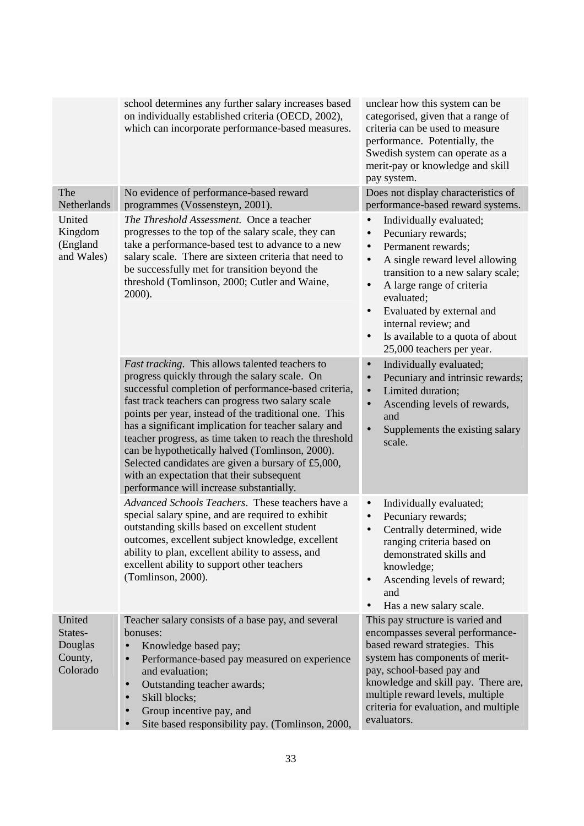|                                                     | school determines any further salary increases based<br>on individually established criteria (OECD, 2002),<br>which can incorporate performance-based measures.                                                                                                                                                                                                                                                                                                                                                                                                                                   | unclear how this system can be<br>categorised, given that a range of<br>criteria can be used to measure<br>performance. Potentially, the<br>Swedish system can operate as a<br>merit-pay or knowledge and skill<br>pay system.                                                                                                                                                                         |
|-----------------------------------------------------|---------------------------------------------------------------------------------------------------------------------------------------------------------------------------------------------------------------------------------------------------------------------------------------------------------------------------------------------------------------------------------------------------------------------------------------------------------------------------------------------------------------------------------------------------------------------------------------------------|--------------------------------------------------------------------------------------------------------------------------------------------------------------------------------------------------------------------------------------------------------------------------------------------------------------------------------------------------------------------------------------------------------|
| The<br>Netherlands                                  | No evidence of performance-based reward<br>programmes (Vossensteyn, 2001).                                                                                                                                                                                                                                                                                                                                                                                                                                                                                                                        | Does not display characteristics of<br>performance-based reward systems.                                                                                                                                                                                                                                                                                                                               |
| United<br>Kingdom<br>(England<br>and Wales)         | The Threshold Assessment. Once a teacher<br>progresses to the top of the salary scale, they can<br>take a performance-based test to advance to a new<br>salary scale. There are sixteen criteria that need to<br>be successfully met for transition beyond the<br>threshold (Tomlinson, 2000; Cutler and Waine,<br>2000).                                                                                                                                                                                                                                                                         | Individually evaluated;<br>$\bullet$<br>Pecuniary rewards;<br>$\bullet$<br>Permanent rewards;<br>$\bullet$<br>A single reward level allowing<br>$\bullet$<br>transition to a new salary scale;<br>A large range of criteria<br>$\bullet$<br>evaluated;<br>Evaluated by external and<br>$\bullet$<br>internal review; and<br>Is available to a quota of about<br>$\bullet$<br>25,000 teachers per year. |
|                                                     | <i>Fast tracking.</i> This allows talented teachers to<br>progress quickly through the salary scale. On<br>successful completion of performance-based criteria,<br>fast track teachers can progress two salary scale<br>points per year, instead of the traditional one. This<br>has a significant implication for teacher salary and<br>teacher progress, as time taken to reach the threshold<br>can be hypothetically halved (Tomlinson, 2000).<br>Selected candidates are given a bursary of £5,000,<br>with an expectation that their subsequent<br>performance will increase substantially. | Individually evaluated;<br>$\bullet$<br>Pecuniary and intrinsic rewards;<br>$\bullet$<br>Limited duration;<br>$\bullet$<br>Ascending levels of rewards,<br>$\bullet$<br>and<br>Supplements the existing salary<br>$\bullet$<br>scale.                                                                                                                                                                  |
|                                                     | Advanced Schools Teachers. These teachers have a<br>special salary spine, and are required to exhibit<br>outstanding skills based on excellent student<br>outcomes, excellent subject knowledge, excellent<br>ability to plan, excellent ability to assess, and<br>excellent ability to support other teachers<br>(Tomlinson, 2000).                                                                                                                                                                                                                                                              | Individually evaluated;<br>$\bullet$<br>Pecuniary rewards;<br>Centrally determined, wide<br>ranging criteria based on<br>demonstrated skills and<br>knowledge;<br>Ascending levels of reward;<br>$\bullet$<br>and<br>Has a new salary scale.                                                                                                                                                           |
| United<br>States-<br>Douglas<br>County,<br>Colorado | Teacher salary consists of a base pay, and several<br>bonuses:<br>Knowledge based pay;<br>$\bullet$<br>Performance-based pay measured on experience<br>$\bullet$<br>and evaluation;<br>Outstanding teacher awards;<br>$\bullet$<br>Skill blocks;<br>$\bullet$<br>Group incentive pay, and<br>$\bullet$<br>Site based responsibility pay. (Tomlinson, 2000,<br>$\bullet$                                                                                                                                                                                                                           | This pay structure is varied and<br>encompasses several performance-<br>based reward strategies. This<br>system has components of merit-<br>pay, school-based pay and<br>knowledge and skill pay. There are,<br>multiple reward levels, multiple<br>criteria for evaluation, and multiple<br>evaluators.                                                                                               |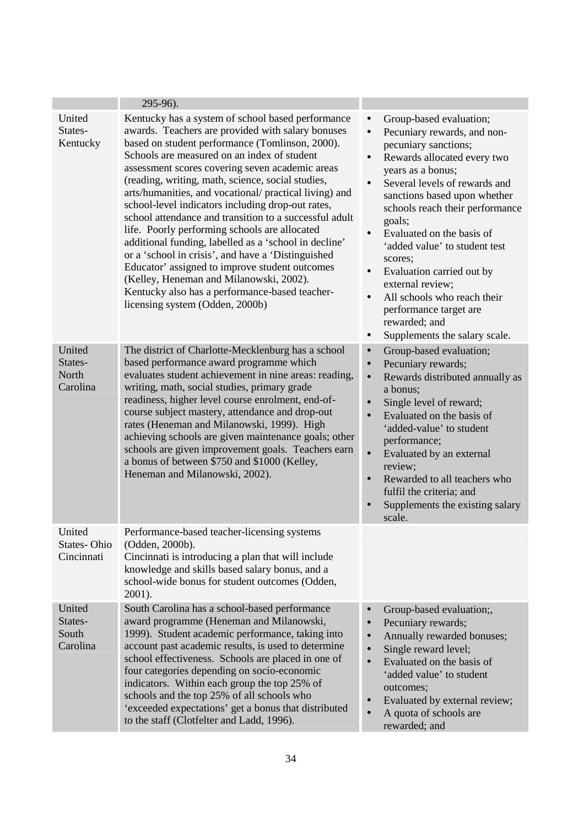|                                        | 295-96).                                                                                                                                                                                                                                                                                                                                                                                                                                                                                                                                                                                                                                                                                                                                                                                                                                    |                                                                                                                                                                                                                                                                                                                                                                                                                                                                                                                                                                                               |
|----------------------------------------|---------------------------------------------------------------------------------------------------------------------------------------------------------------------------------------------------------------------------------------------------------------------------------------------------------------------------------------------------------------------------------------------------------------------------------------------------------------------------------------------------------------------------------------------------------------------------------------------------------------------------------------------------------------------------------------------------------------------------------------------------------------------------------------------------------------------------------------------|-----------------------------------------------------------------------------------------------------------------------------------------------------------------------------------------------------------------------------------------------------------------------------------------------------------------------------------------------------------------------------------------------------------------------------------------------------------------------------------------------------------------------------------------------------------------------------------------------|
| United<br>States-<br>Kentucky          | Kentucky has a system of school based performance<br>awards. Teachers are provided with salary bonuses<br>based on student performance (Tomlinson, 2000).<br>Schools are measured on an index of student<br>assessment scores covering seven academic areas<br>(reading, writing, math, science, social studies,<br>arts/humanities, and vocational/ practical living) and<br>school-level indicators including drop-out rates,<br>school attendance and transition to a successful adult<br>life. Poorly performing schools are allocated<br>additional funding, labelled as a 'school in decline'<br>or a 'school in crisis', and have a 'Distinguished<br>Educator' assigned to improve student outcomes<br>(Kelley, Heneman and Milanowski, 2002).<br>Kentucky also has a performance-based teacher-<br>licensing system (Odden, 2000b) | Group-based evaluation;<br>$\bullet$<br>Pecuniary rewards, and non-<br>$\bullet$<br>pecuniary sanctions;<br>Rewards allocated every two<br>$\bullet$<br>years as a bonus;<br>Several levels of rewards and<br>$\bullet$<br>sanctions based upon whether<br>schools reach their performance<br>goals;<br>Evaluated on the basis of<br>$\bullet$<br>'added value' to student test<br>scores;<br>Evaluation carried out by<br>$\bullet$<br>external review;<br>All schools who reach their<br>$\bullet$<br>performance target are<br>rewarded; and<br>Supplements the salary scale.<br>$\bullet$ |
| United<br>States-<br>North<br>Carolina | The district of Charlotte-Mecklenburg has a school<br>based performance award programme which<br>evaluates student achievement in nine areas: reading,<br>writing, math, social studies, primary grade<br>readiness, higher level course enrolment, end-of-<br>course subject mastery, attendance and drop-out<br>rates (Heneman and Milanowski, 1999). High<br>achieving schools are given maintenance goals; other<br>schools are given improvement goals. Teachers earn<br>a bonus of between \$750 and \$1000 (Kelley,<br>Heneman and Milanowski, 2002).                                                                                                                                                                                                                                                                                | Group-based evaluation;<br>$\bullet$<br>Pecuniary rewards;<br>$\bullet$<br>$\bullet$<br>Rewards distributed annually as<br>a bonus;<br>Single level of reward;<br>$\bullet$<br>Evaluated on the basis of<br>$\bullet$<br>'added-value' to student<br>performance;<br>Evaluated by an external<br>$\bullet$<br>review;<br>Rewarded to all teachers who<br>$\bullet$<br>fulfil the criteria; and<br>Supplements the existing salary<br>$\bullet$<br>scale.                                                                                                                                      |
| United<br>States-Ohio<br>Cincinnati    | Performance-based teacher-licensing systems<br>(Odden, 2000b).<br>Cincinnati is introducing a plan that will include<br>knowledge and skills based salary bonus, and a<br>school-wide bonus for student outcomes (Odden,<br>2001).                                                                                                                                                                                                                                                                                                                                                                                                                                                                                                                                                                                                          |                                                                                                                                                                                                                                                                                                                                                                                                                                                                                                                                                                                               |
| United<br>States-<br>South<br>Carolina | South Carolina has a school-based performance<br>award programme (Heneman and Milanowski,<br>1999). Student academic performance, taking into<br>account past academic results, is used to determine<br>school effectiveness. Schools are placed in one of<br>four categories depending on socio-economic<br>indicators. Within each group the top 25% of<br>schools and the top 25% of all schools who<br>'exceeded expectations' get a bonus that distributed<br>to the staff (Clotfelter and Ladd, 1996).                                                                                                                                                                                                                                                                                                                                | Group-based evaluation;,<br>$\bullet$<br>Pecuniary rewards;<br>$\bullet$<br>Annually rewarded bonuses;<br>$\bullet$<br>Single reward level;<br>$\bullet$<br>Evaluated on the basis of<br>$\bullet$<br>'added value' to student<br>outcomes;<br>Evaluated by external review;<br>$\bullet$<br>A quota of schools are<br>rewarded; and                                                                                                                                                                                                                                                          |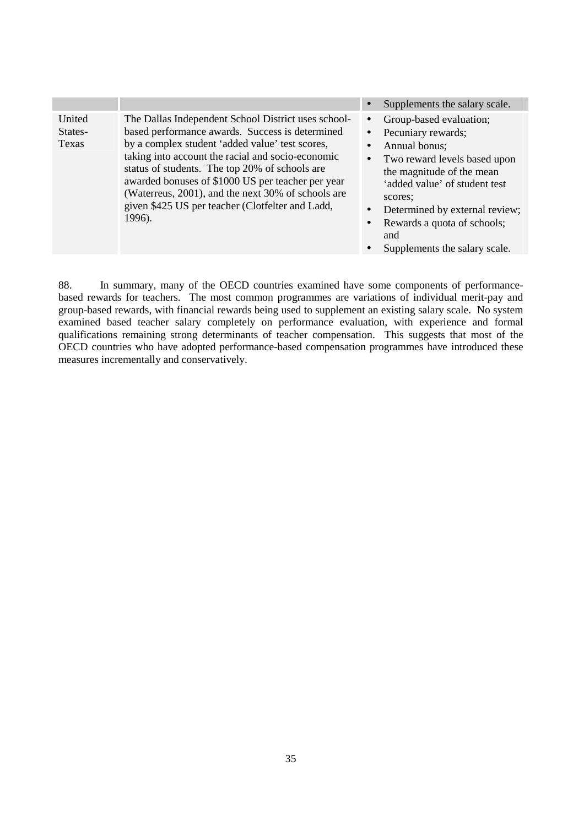|                            |                                                                                                                                                                                                                                                                                                                                                                                                                                           |                        | Supplements the salary scale.                                                                                                                                                                                                                   |
|----------------------------|-------------------------------------------------------------------------------------------------------------------------------------------------------------------------------------------------------------------------------------------------------------------------------------------------------------------------------------------------------------------------------------------------------------------------------------------|------------------------|-------------------------------------------------------------------------------------------------------------------------------------------------------------------------------------------------------------------------------------------------|
| United<br>States-<br>Texas | The Dallas Independent School District uses school-<br>based performance awards. Success is determined<br>by a complex student 'added value' test scores,<br>taking into account the racial and socio-economic<br>status of students. The top 20% of schools are<br>awarded bonuses of \$1000 US per teacher per year<br>(Waterreus, 2001), and the next 30% of schools are<br>given \$425 US per teacher (Clotfelter and Ladd,<br>1996). | $\bullet$<br>$\bullet$ | Group-based evaluation;<br>Pecuniary rewards;<br>Annual bonus;<br>Two reward levels based upon<br>the magnitude of the mean<br>'added value' of student test<br>scores:<br>Determined by external review;<br>Rewards a quota of schools;<br>and |

Supplements the salary scale.

88. In summary, many of the OECD countries examined have some components of performancebased rewards for teachers. The most common programmes are variations of individual merit-pay and group-based rewards, with financial rewards being used to supplement an existing salary scale. No system examined based teacher salary completely on performance evaluation, with experience and formal qualifications remaining strong determinants of teacher compensation. This suggests that most of the OECD countries who have adopted performance-based compensation programmes have introduced these measures incrementally and conservatively.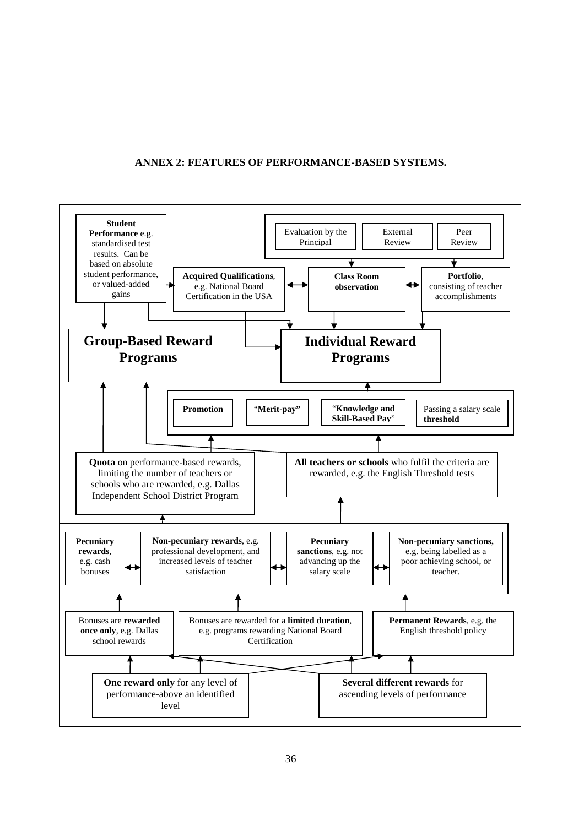#### **ANNEX 2: FEATURES OF PERFORMANCE-BASED SYSTEMS.**

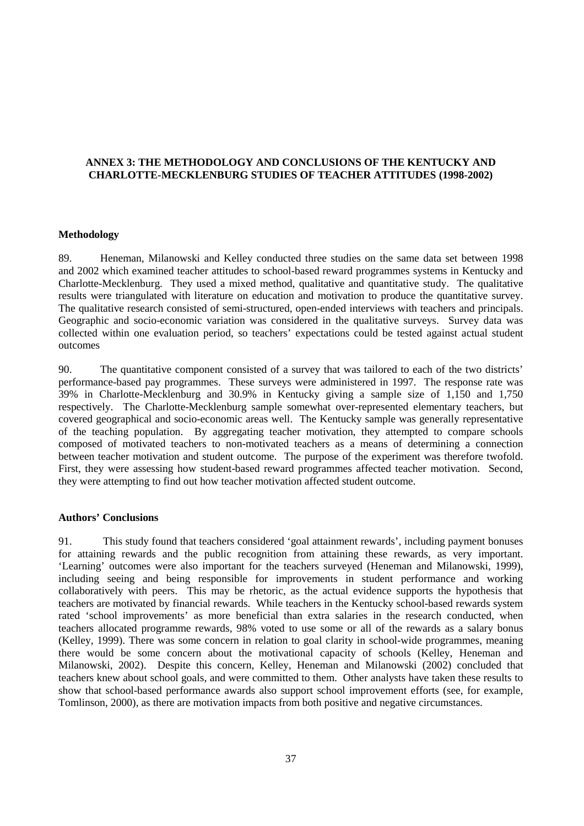# **ANNEX 3: THE METHODOLOGY AND CONCLUSIONS OF THE KENTUCKY AND CHARLOTTE-MECKLENBURG STUDIES OF TEACHER ATTITUDES (1998-2002)**

#### **Methodology**

89. Heneman, Milanowski and Kelley conducted three studies on the same data set between 1998 and 2002 which examined teacher attitudes to school-based reward programmes systems in Kentucky and Charlotte-Mecklenburg. They used a mixed method, qualitative and quantitative study. The qualitative results were triangulated with literature on education and motivation to produce the quantitative survey. The qualitative research consisted of semi-structured, open-ended interviews with teachers and principals. Geographic and socio-economic variation was considered in the qualitative surveys. Survey data was collected within one evaluation period, so teachers' expectations could be tested against actual student outcomes

90. The quantitative component consisted of a survey that was tailored to each of the two districts' performance-based pay programmes. These surveys were administered in 1997. The response rate was 39% in Charlotte-Mecklenburg and 30.9% in Kentucky giving a sample size of 1,150 and 1,750 respectively. The Charlotte-Mecklenburg sample somewhat over-represented elementary teachers, but covered geographical and socio-economic areas well. The Kentucky sample was generally representative of the teaching population. By aggregating teacher motivation, they attempted to compare schools composed of motivated teachers to non-motivated teachers as a means of determining a connection between teacher motivation and student outcome. The purpose of the experiment was therefore twofold. First, they were assessing how student-based reward programmes affected teacher motivation. Second, they were attempting to find out how teacher motivation affected student outcome.

#### **Authors' Conclusions**

91. This study found that teachers considered 'goal attainment rewards', including payment bonuses for attaining rewards and the public recognition from attaining these rewards, as very important. 'Learning' outcomes were also important for the teachers surveyed (Heneman and Milanowski, 1999), including seeing and being responsible for improvements in student performance and working collaboratively with peers. This may be rhetoric, as the actual evidence supports the hypothesis that teachers are motivated by financial rewards. While teachers in the Kentucky school-based rewards system rated 'school improvements' as more beneficial than extra salaries in the research conducted, when teachers allocated programme rewards, 98% voted to use some or all of the rewards as a salary bonus (Kelley, 1999). There was some concern in relation to goal clarity in school-wide programmes, meaning there would be some concern about the motivational capacity of schools (Kelley, Heneman and Milanowski, 2002). Despite this concern, Kelley, Heneman and Milanowski (2002) concluded that teachers knew about school goals, and were committed to them. Other analysts have taken these results to show that school-based performance awards also support school improvement efforts (see, for example, Tomlinson, 2000), as there are motivation impacts from both positive and negative circumstances.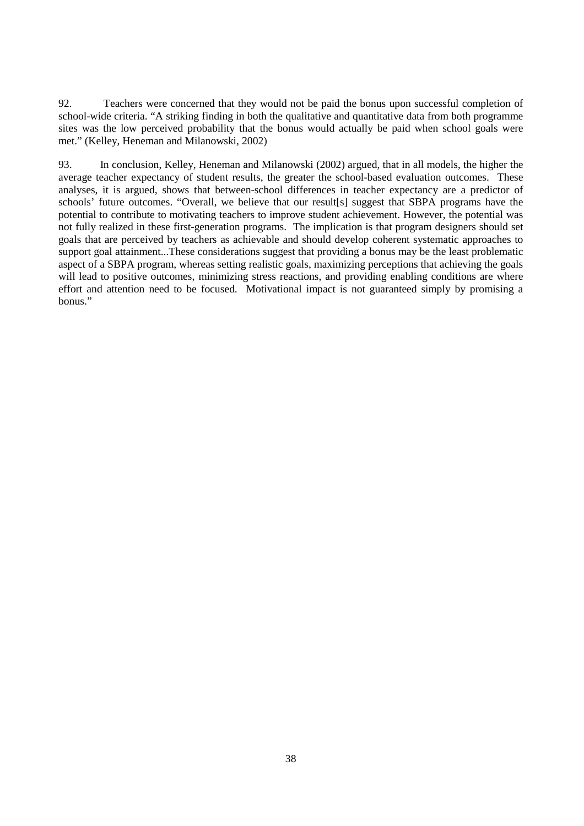92. Teachers were concerned that they would not be paid the bonus upon successful completion of school-wide criteria. "A striking finding in both the qualitative and quantitative data from both programme sites was the low perceived probability that the bonus would actually be paid when school goals were met." (Kelley, Heneman and Milanowski, 2002)

93. In conclusion, Kelley, Heneman and Milanowski (2002) argued, that in all models, the higher the average teacher expectancy of student results, the greater the school-based evaluation outcomes. These analyses, it is argued, shows that between-school differences in teacher expectancy are a predictor of schools' future outcomes. "Overall, we believe that our result[s] suggest that SBPA programs have the potential to contribute to motivating teachers to improve student achievement. However, the potential was not fully realized in these first-generation programs. The implication is that program designers should set goals that are perceived by teachers as achievable and should develop coherent systematic approaches to support goal attainment...These considerations suggest that providing a bonus may be the least problematic aspect of a SBPA program, whereas setting realistic goals, maximizing perceptions that achieving the goals will lead to positive outcomes, minimizing stress reactions, and providing enabling conditions are where effort and attention need to be focused. Motivational impact is not guaranteed simply by promising a bonus."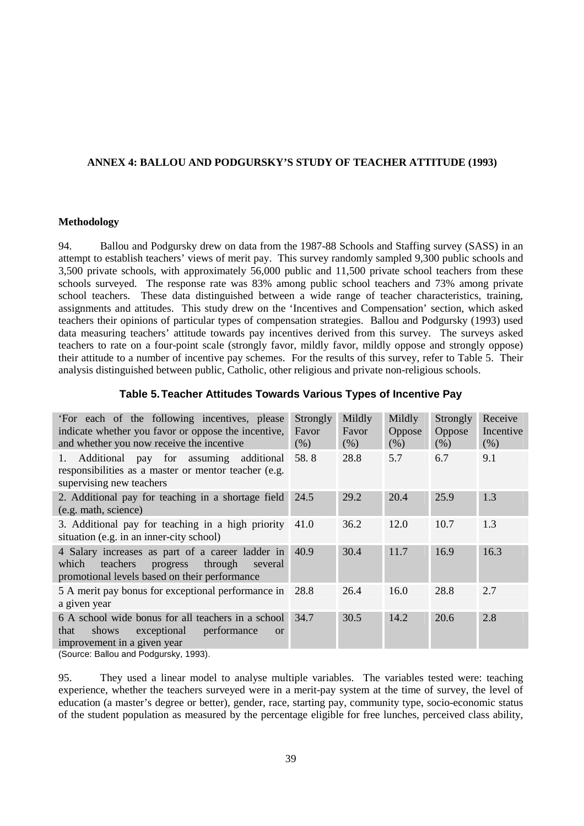# **ANNEX 4: BALLOU AND PODGURSKY'S STUDY OF TEACHER ATTITUDE (1993)**

#### **Methodology**

94. Ballou and Podgursky drew on data from the 1987-88 Schools and Staffing survey (SASS) in an attempt to establish teachers' views of merit pay. This survey randomly sampled 9,300 public schools and 3,500 private schools, with approximately 56,000 public and 11,500 private school teachers from these schools surveyed. The response rate was 83% among public school teachers and 73% among private school teachers. These data distinguished between a wide range of teacher characteristics, training, assignments and attitudes. This study drew on the 'Incentives and Compensation' section, which asked teachers their opinions of particular types of compensation strategies. Ballou and Podgursky (1993) used data measuring teachers' attitude towards pay incentives derived from this survey. The surveys asked teachers to rate on a four-point scale (strongly favor, mildly favor, mildly oppose and strongly oppose) their attitude to a number of incentive pay schemes. For the results of this survey, refer to Table 5. Their analysis distinguished between public, Catholic, other religious and private non-religious schools.

# **Table 5. Teacher Attitudes Towards Various Types of Incentive Pay**

| 'For each of the following incentives, please<br>indicate whether you favor or oppose the incentive,<br>and whether you now receive the incentive                                     | Strongly<br>Favor<br>(% ) | Mildly<br>Favor<br>$(\%)$ | Mildly<br>Oppose<br>(% ) | Strongly<br>Oppose<br>(% ) | Receive<br>Incentive<br>(% ) |
|---------------------------------------------------------------------------------------------------------------------------------------------------------------------------------------|---------------------------|---------------------------|--------------------------|----------------------------|------------------------------|
| Additional pay for assuming additional<br>1.<br>responsibilities as a master or mentor teacher (e.g.<br>supervising new teachers                                                      | 58.8                      | 28.8                      | 5.7                      | 6.7                        | 9.1                          |
| 2. Additional pay for teaching in a shortage field<br>(e.g. math, science)                                                                                                            | 24.5                      | 29.2                      | 20.4                     | 25.9                       | 1.3                          |
| 3. Additional pay for teaching in a high priority<br>situation (e.g. in an inner-city school)                                                                                         | 41.0                      | 36.2                      | 12.0                     | 10.7                       | 1.3                          |
| 4 Salary increases as part of a career ladder in<br>which<br>teachers<br>through<br>progress<br>several<br>promotional levels based on their performance                              | 40.9                      | 30.4                      | 11.7                     | 16.9                       | 16.3                         |
| 5 A merit pay bonus for exceptional performance in 28.8<br>a given year                                                                                                               |                           | 26.4                      | 16.0                     | 28.8                       | 2.7                          |
| 6 A school wide bonus for all teachers in a school<br>exceptional<br>performance<br>shows<br>that<br><b>or</b><br>improvement in a given year<br>$(0.01, 0.01)$ and Dadaural $(1002)$ | 34.7                      | 30.5                      | 14.2                     | 20.6                       | 2.8                          |

(Source: Ballou and Podgursky, 1993).

95. They used a linear model to analyse multiple variables. The variables tested were: teaching experience, whether the teachers surveyed were in a merit-pay system at the time of survey, the level of education (a master's degree or better), gender, race, starting pay, community type, socio-economic status of the student population as measured by the percentage eligible for free lunches, perceived class ability,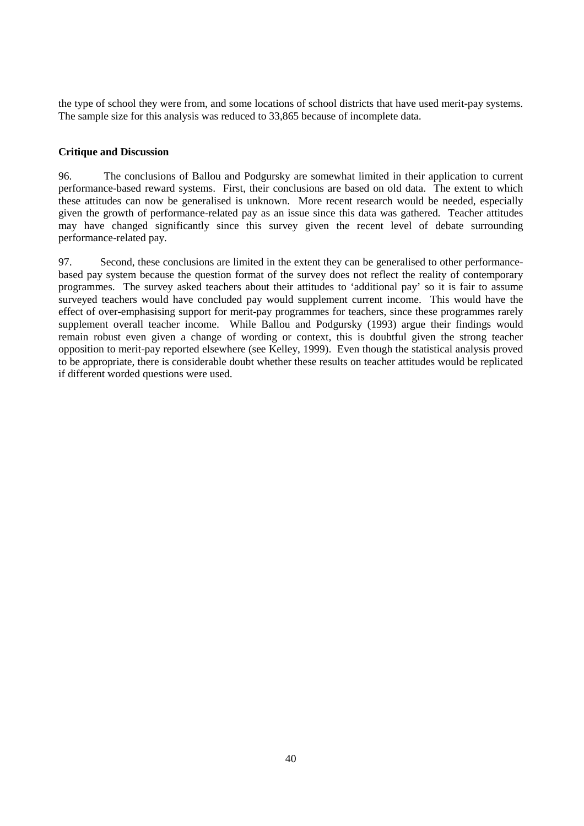the type of school they were from, and some locations of school districts that have used merit-pay systems. The sample size for this analysis was reduced to 33,865 because of incomplete data.

# **Critique and Discussion**

96. The conclusions of Ballou and Podgursky are somewhat limited in their application to current performance-based reward systems. First, their conclusions are based on old data. The extent to which these attitudes can now be generalised is unknown. More recent research would be needed, especially given the growth of performance-related pay as an issue since this data was gathered. Teacher attitudes may have changed significantly since this survey given the recent level of debate surrounding performance-related pay.

97. Second, these conclusions are limited in the extent they can be generalised to other performancebased pay system because the question format of the survey does not reflect the reality of contemporary programmes. The survey asked teachers about their attitudes to 'additional pay' so it is fair to assume surveyed teachers would have concluded pay would supplement current income. This would have the effect of over-emphasising support for merit-pay programmes for teachers, since these programmes rarely supplement overall teacher income. While Ballou and Podgursky (1993) argue their findings would remain robust even given a change of wording or context, this is doubtful given the strong teacher opposition to merit-pay reported elsewhere (see Kelley, 1999). Even though the statistical analysis proved to be appropriate, there is considerable doubt whether these results on teacher attitudes would be replicated if different worded questions were used.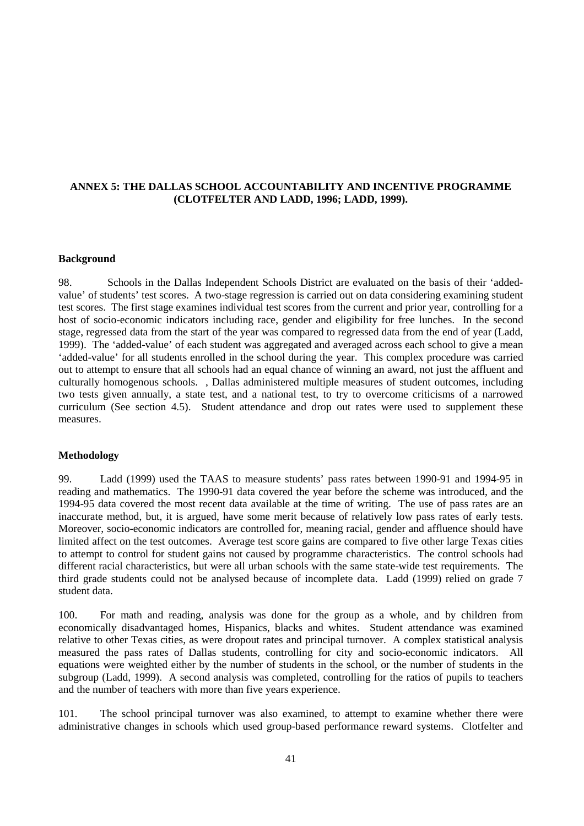# **ANNEX 5: THE DALLAS SCHOOL ACCOUNTABILITY AND INCENTIVE PROGRAMME (CLOTFELTER AND LADD, 1996; LADD, 1999).**

#### **Background**

98. Schools in the Dallas Independent Schools District are evaluated on the basis of their 'addedvalue' of students' test scores. A two-stage regression is carried out on data considering examining student test scores. The first stage examines individual test scores from the current and prior year, controlling for a host of socio-economic indicators including race, gender and eligibility for free lunches. In the second stage, regressed data from the start of the year was compared to regressed data from the end of year (Ladd, 1999). The 'added-value' of each student was aggregated and averaged across each school to give a mean 'added-value' for all students enrolled in the school during the year. This complex procedure was carried out to attempt to ensure that all schools had an equal chance of winning an award, not just the affluent and culturally homogenous schools. , Dallas administered multiple measures of student outcomes, including two tests given annually, a state test, and a national test, to try to overcome criticisms of a narrowed curriculum (See section 4.5). Student attendance and drop out rates were used to supplement these measures.

#### **Methodology**

99. Ladd (1999) used the TAAS to measure students' pass rates between 1990-91 and 1994-95 in reading and mathematics. The 1990-91 data covered the year before the scheme was introduced, and the 1994-95 data covered the most recent data available at the time of writing. The use of pass rates are an inaccurate method, but, it is argued, have some merit because of relatively low pass rates of early tests. Moreover, socio-economic indicators are controlled for, meaning racial, gender and affluence should have limited affect on the test outcomes. Average test score gains are compared to five other large Texas cities to attempt to control for student gains not caused by programme characteristics. The control schools had different racial characteristics, but were all urban schools with the same state-wide test requirements. The third grade students could not be analysed because of incomplete data. Ladd (1999) relied on grade 7 student data.

100. For math and reading, analysis was done for the group as a whole, and by children from economically disadvantaged homes, Hispanics, blacks and whites. Student attendance was examined relative to other Texas cities, as were dropout rates and principal turnover. A complex statistical analysis measured the pass rates of Dallas students, controlling for city and socio-economic indicators. All equations were weighted either by the number of students in the school, or the number of students in the subgroup (Ladd, 1999). A second analysis was completed, controlling for the ratios of pupils to teachers and the number of teachers with more than five years experience.

101. The school principal turnover was also examined, to attempt to examine whether there were administrative changes in schools which used group-based performance reward systems. Clotfelter and